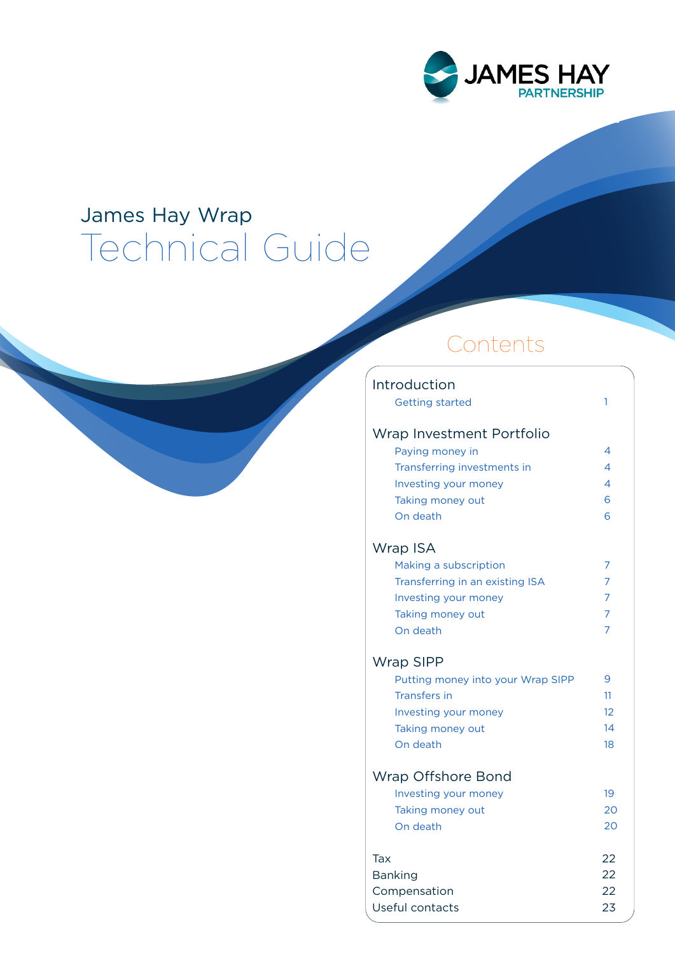

## James Hay Wrap Technical Guide

## Contents

| Introduction                      |                |
|-----------------------------------|----------------|
| <b>Getting started</b>            | 1              |
| Wrap Investment Portfolio         |                |
| Paying money in                   | 4              |
| Transferring investments in       | 4              |
| Investing your money              | 4              |
| Taking money out                  | 6              |
| On death                          | 6              |
| Wrap ISA                          |                |
| Making a subscription             | 7              |
| Transferring in an existing ISA   | 7              |
| Investing your money              | $\overline{7}$ |
| Taking money out                  | $\overline{7}$ |
| On death                          | $\overline{7}$ |
| <b>Wrap SIPP</b>                  |                |
| Putting money into your Wrap SIPP | 9              |
| <b>Transfers in</b>               | 11             |
| Investing your money              | $12^{1}$       |
| Taking money out                  | 14             |
| On death                          | 18             |
| Wrap Offshore Bond                |                |
| Investing your money              | 19             |
| Taking money out                  | 20             |
| On death                          | 20             |
| Tax                               | 22             |
| <b>Banking</b>                    | 22             |
| Compensation                      | 22             |
| Useful contacts                   | 23             |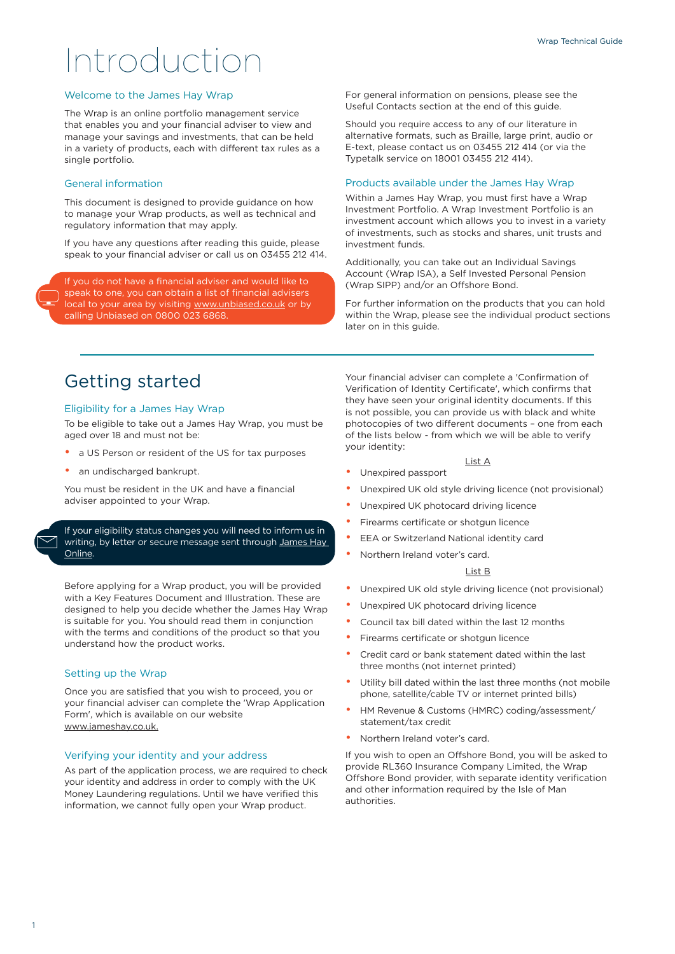# Introduction

#### Welcome to the James Hay Wrap

The Wrap is an online portfolio management service that enables you and your financial adviser to view and manage your savings and investments, that can be held in a variety of products, each with different tax rules as a single portfolio.

#### General information

This document is designed to provide guidance on how to manage your Wrap products, as well as technical and regulatory information that may apply.

If you have any questions after reading this guide, please speak to your financial adviser or call us on 03455 212 414.

If you do not have a financial adviser and would like to speak to one, you can obtain a list of financial advisers local to your area by visiting [www.unbiased.co.uk](http://www.unbiased.co.uk) or by calling Unbiased on 0800 023 6868.

For general information on pensions, please see the Useful Contacts section at the end of this guide.

Should you require access to any of our literature in alternative formats, such as Braille, large print, audio or E-text, please contact us on 03455 212 414 (or via the Typetalk service on 18001 03455 212 414).

#### Products available under the James Hay Wrap

Within a James Hay Wrap, you must first have a Wrap Investment Portfolio. A Wrap Investment Portfolio is an investment account which allows you to invest in a variety of investments, such as stocks and shares, unit trusts and investment funds.

Additionally, you can take out an Individual Savings Account (Wrap ISA), a Self Invested Personal Pension (Wrap SIPP) and/or an Offshore Bond.

For further information on the products that you can hold within the Wrap, please see the individual product sections later on in this guide.

### Getting started

#### Eligibility for a James Hay Wrap

To be eligible to take out a James Hay Wrap, you must be aged over 18 and must not be:

- a US Person or resident of the US for tax purposes
- an undischarged bankrupt.

You must be resident in the UK and have a financial adviser appointed to your Wrap.

If your eligibility status changes you will need to inform us in writing, by letter or secure message sent through James Hay [Online](https://www.jameshay.co.uk/online-and-in-control).

Before applying for a Wrap product, you will be provided with a Key Features Document and Illustration. These are designed to help you decide whether the James Hay Wrap is suitable for you. You should read them in conjunction with the terms and conditions of the product so that you understand how the product works.

#### Setting up the Wrap

Once you are satisfied that you wish to proceed, you or your financial adviser can complete the 'Wrap Application Form', which is available on our website www.jameshay.co.uk.

#### Verifying your identity and your address

As part of the application process, we are required to check your identity and address in order to comply with the UK Money Laundering regulations. Until we have verified this information, we cannot fully open your Wrap product.

Your financial adviser can complete a 'Confirmation of Verification of Identity Certificate', which confirms that they have seen your original identity documents. If this is not possible, you can provide us with black and white photocopies of two different documents – one from each of the lists below - from which we will be able to verify your identity:

- List A
- Unexpired passport
- Unexpired UK old style driving licence (not provisional)
- Unexpired UK photocard driving licence
- Firearms certificate or shotgun licence
- EEA or Switzerland National identity card
	- Northern Ireland voter's card.

#### List B

- Unexpired UK old style driving licence (not provisional)
- Unexpired UK photocard driving licence
- Council tax bill dated within the last 12 months
- Firearms certificate or shotgun licence
- Credit card or bank statement dated within the last three months (not internet printed)
- Utility bill dated within the last three months (not mobile phone, satellite/cable TV or internet printed bills)
- HM Revenue & Customs (HMRC) coding/assessment/ statement/tax credit
- Northern Ireland voter's card.

If you wish to open an Offshore Bond, you will be asked to provide RL360 Insurance Company Limited, the Wrap Offshore Bond provider, with separate identity verification and other information required by the Isle of Man authorities.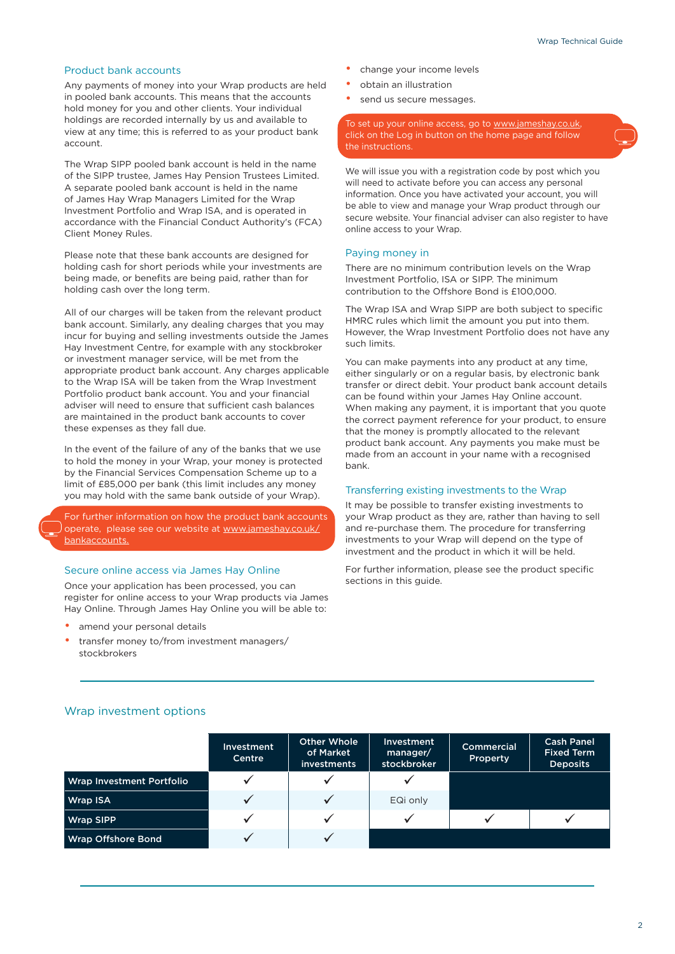#### Product bank accounts

Any payments of money into your Wrap products are held in pooled bank accounts. This means that the accounts hold money for you and other clients. Your individual holdings are recorded internally by us and available to view at any time; this is referred to as your product bank account.

The Wrap SIPP pooled bank account is held in the name of the SIPP trustee, James Hay Pension Trustees Limited. A separate pooled bank account is held in the name of James Hay Wrap Managers Limited for the Wrap Investment Portfolio and Wrap ISA, and is operated in accordance with the Financial Conduct Authority's (FCA) Client Money Rules.

Please note that these bank accounts are designed for holding cash for short periods while your investments are being made, or benefits are being paid, rather than for holding cash over the long term.

All of our charges will be taken from the relevant product bank account. Similarly, any dealing charges that you may incur for buying and selling investments outside the James Hay Investment Centre, for example with any stockbroker or investment manager service, will be met from the appropriate product bank account. Any charges applicable to the Wrap ISA will be taken from the Wrap Investment Portfolio product bank account. You and your financial adviser will need to ensure that sufficient cash balances are maintained in the product bank accounts to cover these expenses as they fall due.

In the event of the failure of any of the banks that we use to hold the money in your Wrap, your money is protected by the Financial Services Compensation Scheme up to a limit of £85,000 per bank (this limit includes any money you may hold with the same bank outside of your Wrap).

For further information on how the product bank accounts operate, please see our website at [www.jameshay.co.uk/](http://www.jameshay.co.uk/bankaccounts) [bankaccounts.](http://www.jameshay.co.uk/bankaccounts)

#### Secure online access via James Hay Online

Once your application has been processed, you can register for online access to your Wrap products via James Hay Online. Through James Hay Online you will be able to:

- amend your personal details
- transfer money to/from investment managers/ stockbrokers
- change your income levels
- obtain an illustration
- send us secure messages.

To set up your online access, go to [www.jameshay.co.uk,](https://www.jameshay.co.uk/online-and-in-control) click on the Log in button on the home page and follow

We will issue you with a registration code by post which you will need to activate before you can access any personal information. Once you have activated your account, you will be able to view and manage your Wrap product through our secure website. Your financial adviser can also register to have online access to your Wrap.

#### Paying money in

There are no minimum contribution levels on the Wrap Investment Portfolio, ISA or SIPP. The minimum contribution to the Offshore Bond is £100,000.

The Wrap ISA and Wrap SIPP are both subject to specific HMRC rules which limit the amount you put into them. However, the Wrap Investment Portfolio does not have any such limits.

You can make payments into any product at any time, either singularly or on a regular basis, by electronic bank transfer or direct debit. Your product bank account details can be found within your James Hay Online account. When making any payment, it is important that you quote the correct payment reference for your product, to ensure that the money is promptly allocated to the relevant product bank account. Any payments you make must be made from an account in your name with a recognised bank.

#### Transferring existing investments to the Wrap

It may be possible to transfer existing investments to your Wrap product as they are, rather than having to sell and re-purchase them. The procedure for transferring investments to your Wrap will depend on the type of investment and the product in which it will be held.

For further information, please see the product specific sections in this guide.

|                           | <b>Investment</b><br>Centre | Other Whole<br>of Market<br><i>investments</i> | Investment<br>manager/<br>stockbroker | <b>Commercial</b><br>Property | <b>Cash Panel</b><br><b>Fixed Term</b><br><b>Deposits</b> |
|---------------------------|-----------------------------|------------------------------------------------|---------------------------------------|-------------------------------|-----------------------------------------------------------|
| Wrap Investment Portfolio |                             |                                                |                                       |                               |                                                           |
| Wrap ISA                  |                             |                                                | EQi only                              |                               |                                                           |
| Wrap SIPP                 |                             | ✓                                              |                                       |                               |                                                           |
| Wrap Offshore Bond        |                             |                                                |                                       |                               |                                                           |

#### Wrap investment options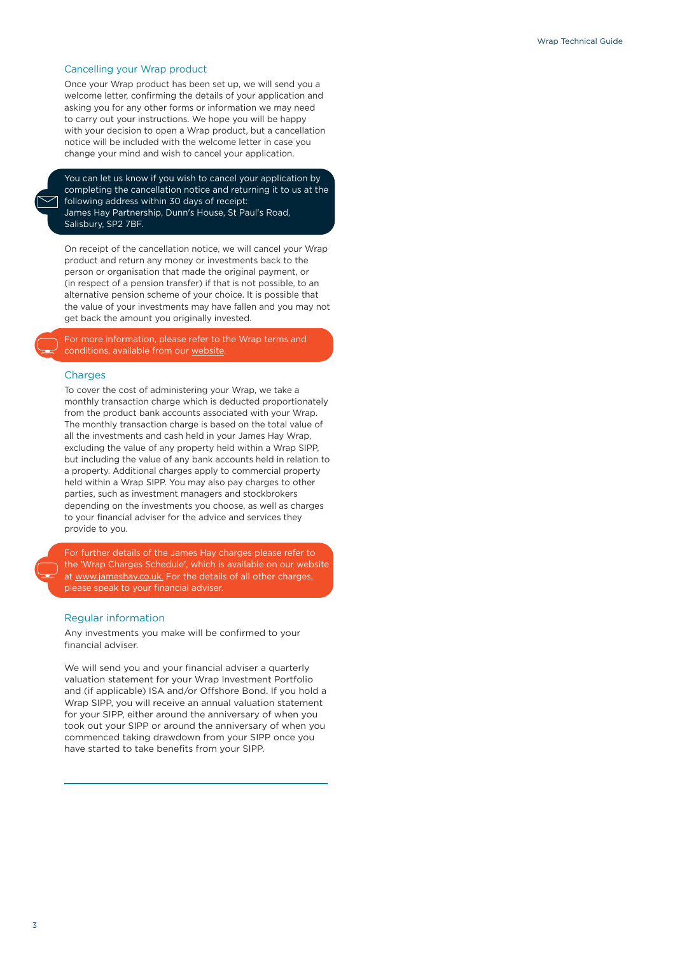#### Cancelling your Wrap product

Once your Wrap product has been set up, we will send you a welcome letter, confirming the details of your application and asking you for any other forms or information we may need to carry out your instructions. We hope you will be happy with your decision to open a Wrap product, but a cancellation notice will be included with the welcome letter in case you change your mind and wish to cancel your application.

You can let us know if you wish to cancel your application by completing the cancellation notice and returning it to us at the following address within 30 days of receipt: James Hay Partnership, Dunn's House, St Paul's Road, Salisbury, SP2 7BF.

On receipt of the cancellation notice, we will cancel your Wrap product and return any money or investments back to the person or organisation that made the original payment, or (in respect of a pension transfer) if that is not possible, to an alternative pension scheme of your choice. It is possible that the value of your investments may have fallen and you may not get back the amount you originally invested.

For more information, please refer to the Wrap terms and conditions, available from our [website.](https://www.jameshay.co.uk/product-literature/wrap/wrap-investment-portfolio/)

#### Charges

To cover the cost of administering your Wrap, we take a monthly transaction charge which is deducted proportionately from the product bank accounts associated with your Wrap. The monthly transaction charge is based on the total value of all the investments and cash held in your James Hay Wrap, excluding the value of any property held within a Wrap SIPP, but including the value of any bank accounts held in relation to a property. Additional charges apply to commercial property held within a Wrap SIPP. You may also pay charges to other parties, such as investment managers and stockbrokers depending on the investments you choose, as well as charges to your financial adviser for the advice and services they provide to you.

For further details of the James Hay charges please refer to the 'Wrap Charges Schedule', which is available on our website at [www.jameshay.co.uk.](https://www.jameshay.co.uk/product-literature/wrap/wrap-investment-portfolio/) For the details of all other charges, please speak to your financial adviser.

#### Regular information

Any investments you make will be confirmed to your financial adviser.

We will send you and your financial adviser a quarterly valuation statement for your Wrap Investment Portfolio and (if applicable) ISA and/or Offshore Bond. If you hold a Wrap SIPP, you will receive an annual valuation statement for your SIPP, either around the anniversary of when you took out your SIPP or around the anniversary of when you commenced taking drawdown from your SIPP once you have started to take benefits from your SIPP.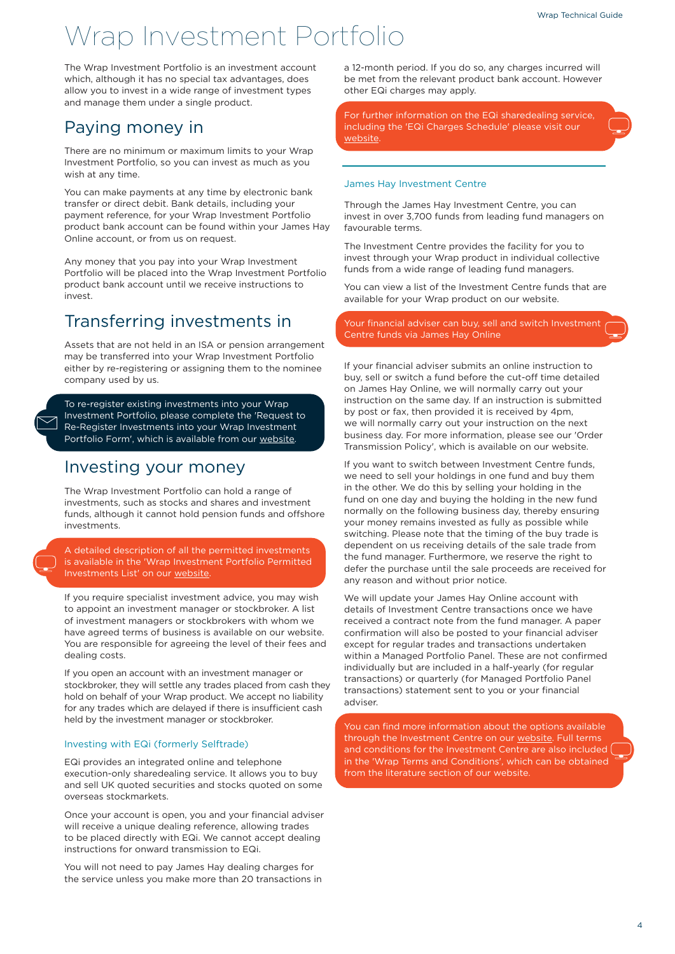## Wrap Investment Portfolio

The Wrap Investment Portfolio is an investment account which, although it has no special tax advantages, does allow you to invest in a wide range of investment types and manage them under a single product.

### Paying money in

There are no minimum or maximum limits to your Wrap Investment Portfolio, so you can invest as much as you wish at any time.

You can make payments at any time by electronic bank transfer or direct debit. Bank details, including your payment reference, for your Wrap Investment Portfolio product bank account can be found within your James Hay Online account, or from us on request.

Any money that you pay into your Wrap Investment Portfolio will be placed into the Wrap Investment Portfolio product bank account until we receive instructions to invest.

### Transferring investments in

Assets that are not held in an ISA or pension arrangement may be transferred into your Wrap Investment Portfolio either by re-registering or assigning them to the nominee company used by us.

To re-register existing investments into your Wrap Investment Portfolio, please complete the 'Request to Re-Register Investments into your Wrap Investment Portfolio Form', which is available from our [website.](https://www.jameshay.co.uk/product-literature/wrap/wrap-investment-portfolio/)

### Investing your money

The Wrap Investment Portfolio can hold a range of investments, such as stocks and shares and investment funds, although it cannot hold pension funds and offshore investments.

A detailed description of all the permitted investments is available in the 'Wrap Investment Portfolio Permitted Investments List' on our [website](https://www.jameshay.co.uk/product-literature/wrap/wrap-investment-portfolio/).

If you require specialist investment advice, you may wish to appoint an investment manager or stockbroker. A list of investment managers or stockbrokers with whom we have agreed terms of business is available on our website. You are responsible for agreeing the level of their fees and dealing costs.

If you open an account with an investment manager or stockbroker, they will settle any trades placed from cash they hold on behalf of your Wrap product. We accept no liability for any trades which are delayed if there is insufficient cash held by the investment manager or stockbroker.

#### Investing with EQi (formerly Selftrade)

EQi provides an integrated online and telephone execution-only sharedealing service. It allows you to buy and sell UK quoted securities and stocks quoted on some overseas stockmarkets.

Once your account is open, you and your financial adviser will receive a unique dealing reference, allowing trades to be placed directly with EQi. We cannot accept dealing instructions for onward transmission to EQi.

You will not need to pay James Hay dealing charges for the service unless you make more than 20 transactions in a 12-month period. If you do so, any charges incurred will be met from the relevant product bank account. However other EQi charges may apply.

For further information on the EQi sharedealing service, including the 'EQi Charges Schedule' please visit our [website](https://www.jameshay.co.uk/product-literature/wrap/wrap-investment-portfolio/).

#### James Hay Investment Centre

Through the James Hay Investment Centre, you can invest in over 3,700 funds from leading fund managers on favourable terms.

The Investment Centre provides the facility for you to invest through your Wrap product in individual collective funds from a wide range of leading fund managers.

You can view a list of the Investment Centre funds that are available for your Wrap product on our website.

Your financial adviser can buy, sell and switch Investment Centre funds via James Hay Online

If your financial adviser submits an online instruction to buy, sell or switch a fund before the cut-off time detailed on James Hay Online, we will normally carry out your instruction on the same day. If an instruction is submitted by post or fax, then provided it is received by 4pm, we will normally carry out your instruction on the next business day. For more information, please see our 'Order Transmission Policy', which is available on our website.

If you want to switch between Investment Centre funds, we need to sell your holdings in one fund and buy them in the other. We do this by selling your holding in the fund on one day and buying the holding in the new fund normally on the following business day, thereby ensuring your money remains invested as fully as possible while switching. Please note that the timing of the buy trade is dependent on us receiving details of the sale trade from the fund manager. Furthermore, we reserve the right to defer the purchase until the sale proceeds are received for any reason and without prior notice.

We will update your James Hay Online account with details of Investment Centre transactions once we have received a contract note from the fund manager. A paper confirmation will also be posted to your financial adviser except for regular trades and transactions undertaken within a Managed Portfolio Panel. These are not confirmed individually but are included in a half-yearly (for regular transactions) or quarterly (for Managed Portfolio Panel transactions) statement sent to you or your financial adviser.

You can find more information about the options available through the Investment Centre on our [website.](https://www.jameshay.co.uk/our-products-services/investments/investment-centre/) Full terms and conditions for the Investment Centre are also included [ in the 'Wrap Terms and Conditions', which can be obtained from the literature section of our website.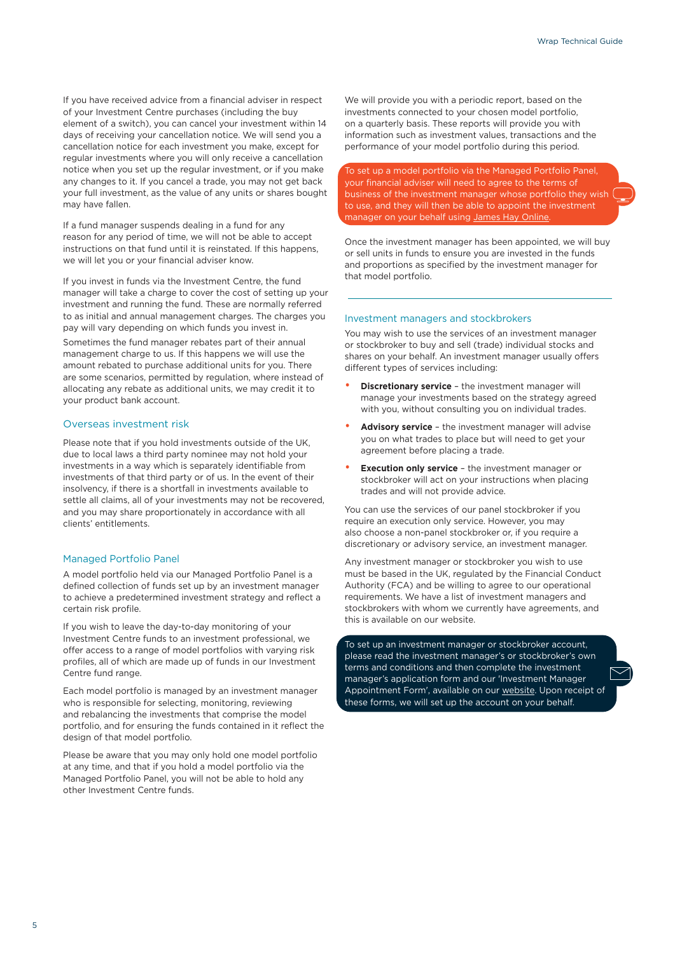If you have received advice from a financial adviser in respect of your Investment Centre purchases (including the buy element of a switch), you can cancel your investment within 14 days of receiving your cancellation notice. We will send you a cancellation notice for each investment you make, except for regular investments where you will only receive a cancellation notice when you set up the regular investment, or if you make any changes to it. If you cancel a trade, you may not get back your full investment, as the value of any units or shares bought may have fallen.

If a fund manager suspends dealing in a fund for any reason for any period of time, we will not be able to accept instructions on that fund until it is reinstated. If this happens, we will let you or your financial adviser know.

If you invest in funds via the Investment Centre, the fund manager will take a charge to cover the cost of setting up your investment and running the fund. These are normally referred to as initial and annual management charges. The charges you pay will vary depending on which funds you invest in.

Sometimes the fund manager rebates part of their annual management charge to us. If this happens we will use the amount rebated to purchase additional units for you. There are some scenarios, permitted by regulation, where instead of allocating any rebate as additional units, we may credit it to your product bank account.

#### Overseas investment risk

Please note that if you hold investments outside of the UK, due to local laws a third party nominee may not hold your investments in a way which is separately identifiable from investments of that third party or of us. In the event of their insolvency, if there is a shortfall in investments available to settle all claims, all of your investments may not be recovered, and you may share proportionately in accordance with all clients' entitlements.

#### Managed Portfolio Panel

A model portfolio held via our Managed Portfolio Panel is a defined collection of funds set up by an investment manager to achieve a predetermined investment strategy and reflect a certain risk profile.

If you wish to leave the day-to-day monitoring of your Investment Centre funds to an investment professional, we offer access to a range of model portfolios with varying risk profiles, all of which are made up of funds in our Investment Centre fund range.

Each model portfolio is managed by an investment manager who is responsible for selecting, monitoring, reviewing and rebalancing the investments that comprise the model portfolio, and for ensuring the funds contained in it reflect the design of that model portfolio.

Please be aware that you may only hold one model portfolio at any time, and that if you hold a model portfolio via the Managed Portfolio Panel, you will not be able to hold any other Investment Centre funds.

We will provide you with a periodic report, based on the investments connected to your chosen model portfolio, on a quarterly basis. These reports will provide you with information such as investment values, transactions and the performance of your model portfolio during this period.

To set up a model portfolio via the Managed Portfolio Panel, your financial adviser will need to agree to the terms of business of the investment manager whose portfolio they wish to use, and they will then be able to appoint the investment manager on your behalf using [James Hay Online](https://www.jameshay.co.uk/online-and-in-control)

Once the investment manager has been appointed, we will buy or sell units in funds to ensure you are invested in the funds and proportions as specified by the investment manager for that model portfolio.

#### Investment managers and stockbrokers

You may wish to use the services of an investment manager or stockbroker to buy and sell (trade) individual stocks and shares on your behalf. An investment manager usually offers different types of services including:

- **Discretionary service** the investment manager will manage your investments based on the strategy agreed with you, without consulting you on individual trades.
- **Advisory service** the investment manager will advise you on what trades to place but will need to get your agreement before placing a trade.
- **Execution only service** the investment manager or stockbroker will act on your instructions when placing trades and will not provide advice.

You can use the services of our panel stockbroker if you require an execution only service. However, you may also choose a non-panel stockbroker or, if you require a discretionary or advisory service, an investment manager.

Any investment manager or stockbroker you wish to use must be based in the UK, regulated by the Financial Conduct Authority (FCA) and be willing to agree to our operational requirements. We have a list of investment managers and stockbrokers with whom we currently have agreements, and this is available on our website.

To set up an investment manager or stockbroker account, please read the investment manager's or stockbroker's own terms and conditions and then complete the investment manager's application form and our 'Investment Manager Appointment Form', available on our [website.](https://www.jameshay.co.uk/product-literature/wrap/wrap-sipp/) Upon receipt of these forms, we will set up the account on your behalf.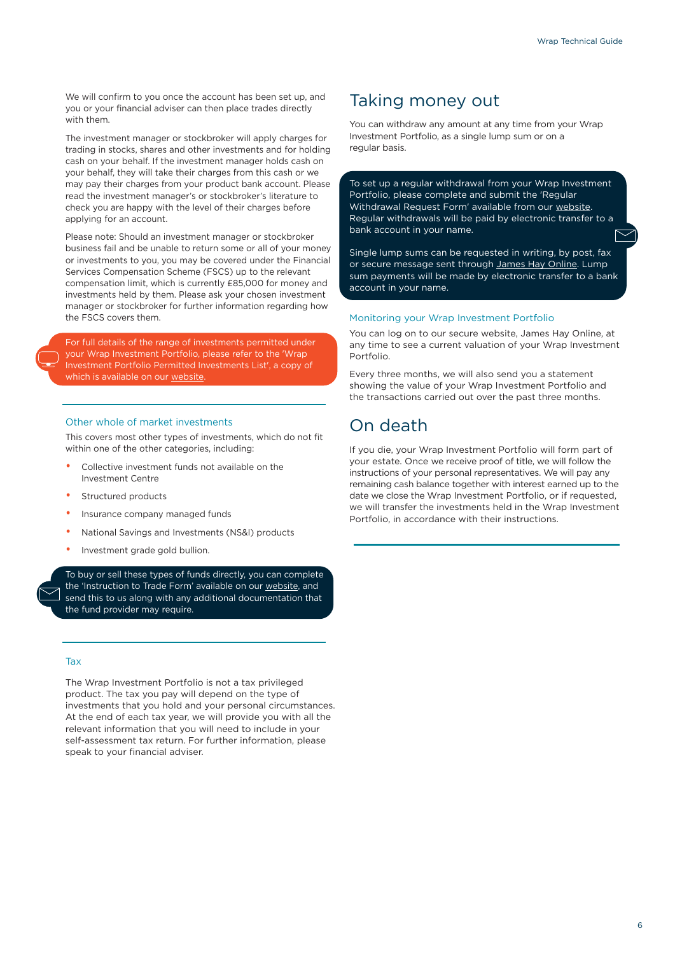We will confirm to you once the account has been set up, and you or your financial adviser can then place trades directly with them.

The investment manager or stockbroker will apply charges for trading in stocks, shares and other investments and for holding cash on your behalf. If the investment manager holds cash on your behalf, they will take their charges from this cash or we may pay their charges from your product bank account. Please read the investment manager's or stockbroker's literature to check you are happy with the level of their charges before applying for an account.

Please note: Should an investment manager or stockbroker business fail and be unable to return some or all of your money or investments to you, you may be covered under the Financial Services Compensation Scheme (FSCS) up to the relevant compensation limit, which is currently £85,000 for money and investments held by them. Please ask your chosen investment manager or stockbroker for further information regarding how the FSCS covers them.

For full details of the range of investments permitted under your Wrap Investment Portfolio, please refer to the 'Wrap Investment Portfolio Permitted Investments List', a copy of which is available on our [website.](https://www.jameshay.co.uk/product-literature/wrap/wrap-sipp/)

#### Other whole of market investments

This covers most other types of investments, which do not fit within one of the other categories, including:

- Collective investment funds not available on the Investment Centre
- Structured products
- Insurance company managed funds
- National Savings and Investments (NS&I) products
- Investment grade gold bullion.

To buy or sell these types of funds directly, you can complete the 'Instruction to Trade Form' available on our [website,](https://www.jameshay.co.uk/product-literature/wrap/wrap-sipp/) and send this to us along with any additional documentation that the fund provider may require.

#### Tax

The Wrap Investment Portfolio is not a tax privileged product. The tax you pay will depend on the type of investments that you hold and your personal circumstances. At the end of each tax year, we will provide you with all the relevant information that you will need to include in your self-assessment tax return. For further information, please speak to your financial adviser.

### Taking money out

You can withdraw any amount at any time from your Wrap Investment Portfolio, as a single lump sum or on a regular basis.

To set up a regular withdrawal from your Wrap Investment Portfolio, please complete and submit the 'Regular Withdrawal Request Form' available from our [website.](https://www.jameshay.co.uk/product-literature/wrap/wrap-investment-portfolio/) Regular withdrawals will be paid by electronic transfer to a bank account in your name.

Single lump sums can be requested in writing, by post, fax or secure message sent through [James Hay Online.](https://www.jameshay.co.uk/online-and-in-control) Lump sum payments will be made by electronic transfer to a bank account in your name.

#### Monitoring your Wrap Investment Portfolio

You can log on to our secure website, James Hay Online, at any time to see a current valuation of your Wrap Investment Portfolio.

Every three months, we will also send you a statement showing the value of your Wrap Investment Portfolio and the transactions carried out over the past three months.

### On death

If you die, your Wrap Investment Portfolio will form part of your estate. Once we receive proof of title, we will follow the instructions of your personal representatives. We will pay any remaining cash balance together with interest earned up to the date we close the Wrap Investment Portfolio, or if requested, we will transfer the investments held in the Wrap Investment Portfolio, in accordance with their instructions.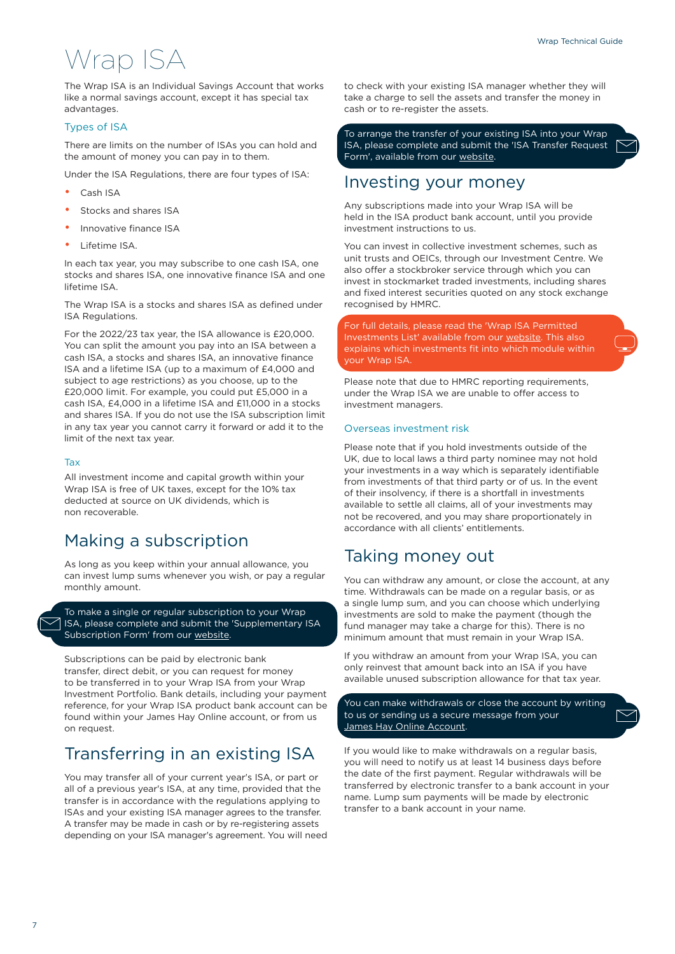## Wrap ISA

The Wrap ISA is an Individual Savings Account that works like a normal savings account, except it has special tax advantages.

#### Types of ISA

There are limits on the number of ISAs you can hold and the amount of money you can pay in to them.

Under the ISA Regulations, there are four types of ISA:

- Cash ISA
- Stocks and shares ISA
- Innovative finance ISA
- Lifetime ISA.

In each tax year, you may subscribe to one cash ISA, one stocks and shares ISA, one innovative finance ISA and one lifetime ISA.

The Wrap ISA is a stocks and shares ISA as defined under ISA Regulations.

For the 2022/23 tax year, the ISA allowance is £20,000. You can split the amount you pay into an ISA between a cash ISA, a stocks and shares ISA, an innovative finance ISA and a lifetime ISA (up to a maximum of £4,000 and subject to age restrictions) as you choose, up to the £20,000 limit. For example, you could put £5,000 in a cash ISA, £4,000 in a lifetime ISA and £11,000 in a stocks and shares ISA. If you do not use the ISA subscription limit in any tax year you cannot carry it forward or add it to the limit of the next tax year.

#### Tax

All investment income and capital growth within your Wrap ISA is free of UK taxes, except for the 10% tax deducted at source on UK dividends, which is non recoverable.

### Making a subscription

As long as you keep within your annual allowance, you can invest lump sums whenever you wish, or pay a regular monthly amount.

To make a single or regular subscription to your Wrap ISA, please complete and submit the 'Supplementary ISA Subscription Form' from our [website](https://www.jameshay.co.uk/product-literature/wrap/wrap-isa/).

Subscriptions can be paid by electronic bank transfer, direct debit, or you can request for money to be transferred in to your Wrap ISA from your Wrap Investment Portfolio. Bank details, including your payment reference, for your Wrap ISA product bank account can be found within your James Hay Online account, or from us on request.

### Transferring in an existing ISA

You may transfer all of your current year's ISA, or part or all of a previous year's ISA, at any time, provided that the transfer is in accordance with the regulations applying to ISAs and your existing ISA manager agrees to the transfer. A transfer may be made in cash or by re-registering assets depending on your ISA manager's agreement. You will need to check with your existing ISA manager whether they will take a charge to sell the assets and transfer the money in cash or to re-register the assets.

To arrange the transfer of your existing ISA into your Wrap ISA, please complete and submit the 'ISA Transfer Request Form', available from our [website.](https://www.jameshay.co.uk/product-literature/wrap/wrap-isa/)

### Investing your money

Any subscriptions made into your Wrap ISA will be held in the ISA product bank account, until you provide investment instructions to us.

You can invest in collective investment schemes, such as unit trusts and OEICs, through our Investment Centre. We also offer a stockbroker service through which you can invest in stockmarket traded investments, including shares and fixed interest securities quoted on any stock exchange recognised by HMRC.

For full details, please read the 'Wrap ISA Permitted Investments List' available from our [website.](https://www.jameshay.co.uk/product-literature/wrap/wrap-isa/) This also explains which investments fit into which module within your Wrap ISA.

Please note that due to HMRC reporting requirements, under the Wrap ISA we are unable to offer access to investment managers.

#### Overseas investment risk

Please note that if you hold investments outside of the UK, due to local laws a third party nominee may not hold your investments in a way which is separately identifiable from investments of that third party or of us. In the event of their insolvency, if there is a shortfall in investments available to settle all claims, all of your investments may not be recovered, and you may share proportionately in accordance with all clients' entitlements.

### Taking money out

You can withdraw any amount, or close the account, at any time. Withdrawals can be made on a regular basis, or as a single lump sum, and you can choose which underlying investments are sold to make the payment (though the fund manager may take a charge for this). There is no minimum amount that must remain in your Wrap ISA.

If you withdraw an amount from your Wrap ISA, you can only reinvest that amount back into an ISA if you have available unused subscription allowance for that tax year.

You can make withdrawals or close the account by writing to us or sending us a secure message from your [James Hay Online Account](https://www.jameshay.co.uk/online-and-in-control).

If you would like to make withdrawals on a regular basis, you will need to notify us at least 14 business days before the date of the first payment. Regular withdrawals will be transferred by electronic transfer to a bank account in your name. Lump sum payments will be made by electronic transfer to a bank account in your name.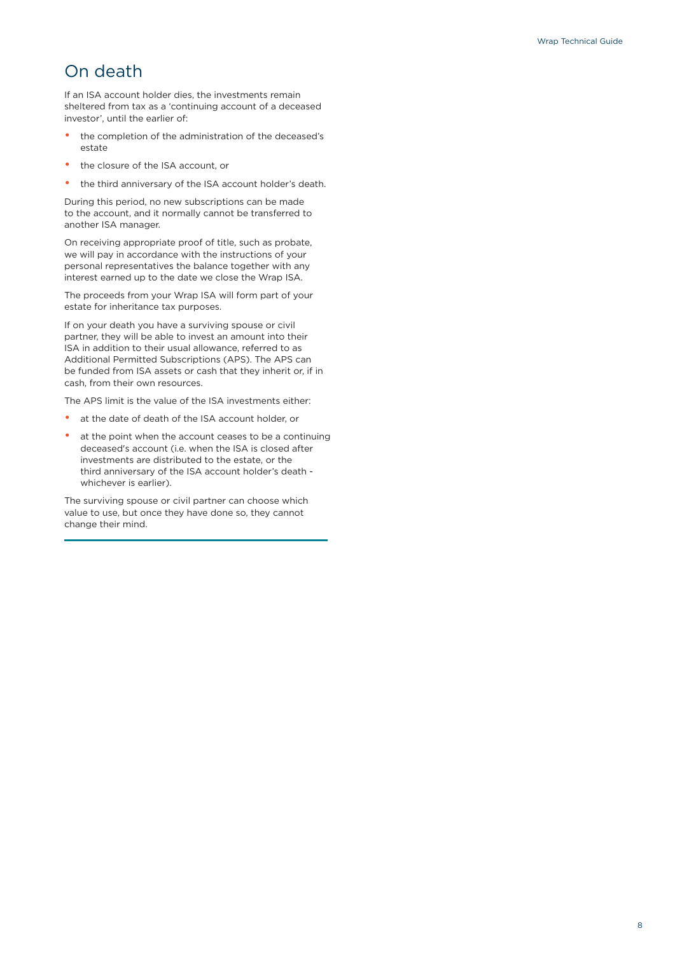### On death

If an ISA account holder dies, the investments remain sheltered from tax as a 'continuing account of a deceased investor', until the earlier of:

- the completion of the administration of the deceased's estate
- the closure of the ISA account, or
- the third anniversary of the ISA account holder's death.

During this period, no new subscriptions can be made to the account, and it normally cannot be transferred to another ISA manager.

On receiving appropriate proof of title, such as probate, we will pay in accordance with the instructions of your personal representatives the balance together with any interest earned up to the date we close the Wrap ISA.

The proceeds from your Wrap ISA will form part of your estate for inheritance tax purposes.

If on your death you have a surviving spouse or civil partner, they will be able to invest an amount into their ISA in addition to their usual allowance, referred to as Additional Permitted Subscriptions (APS). The APS can be funded from ISA assets or cash that they inherit or, if in cash, from their own resources.

The APS limit is the value of the ISA investments either:

- at the date of death of the ISA account holder, or
- at the point when the account ceases to be a continuing deceased's account (i.e. when the ISA is closed after investments are distributed to the estate, or the third anniversary of the ISA account holder's death whichever is earlier).

The surviving spouse or civil partner can choose which value to use, but once they have done so, they cannot change their mind.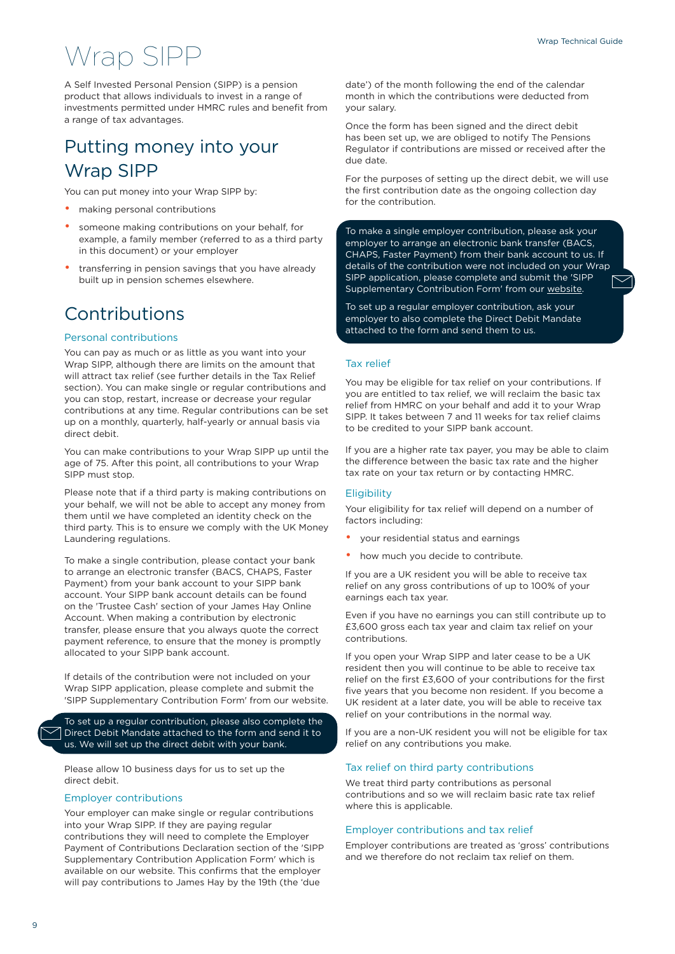## Wrap SIPP

A Self Invested Personal Pension (SIPP) is a pension product that allows individuals to invest in a range of investments permitted under HMRC rules and benefit from a range of tax advantages.

### Putting money into your Wrap SIPP

You can put money into your Wrap SIPP by:

- making personal contributions
- someone making contributions on your behalf, for example, a family member (referred to as a third party in this document) or your employer
- transferring in pension savings that you have already built up in pension schemes elsewhere.

### Contributions

#### Personal contributions

You can pay as much or as little as you want into your Wrap SIPP, although there are limits on the amount that will attract tax relief (see further details in the Tax Relief section). You can make single or regular contributions and you can stop, restart, increase or decrease your regular contributions at any time. Regular contributions can be set up on a monthly, quarterly, half-yearly or annual basis via direct debit.

You can make contributions to your Wrap SIPP up until the age of 75. After this point, all contributions to your Wrap SIPP must stop.

Please note that if a third party is making contributions on your behalf, we will not be able to accept any money from them until we have completed an identity check on the third party. This is to ensure we comply with the UK Money Laundering regulations.

To make a single contribution, please contact your bank to arrange an electronic transfer (BACS, CHAPS, Faster Payment) from your bank account to your SIPP bank account. Your SIPP bank account details can be found on the 'Trustee Cash' section of your James Hay Online Account. When making a contribution by electronic transfer, please ensure that you always quote the correct payment reference, to ensure that the money is promptly allocated to your SIPP bank account.

If details of the contribution were not included on your Wrap SIPP application, please complete and submit the 'SIPP Supplementary Contribution Form' from our website.

To set up a regular contribution, please also complete the Direct Debit Mandate attached to the form and send it to us. We will set up the direct debit with your bank.

Please allow 10 business days for us to set up the direct debit.

#### Employer contributions

Your employer can make single or regular contributions into your Wrap SIPP. If they are paying regular contributions they will need to complete the Employer Payment of Contributions Declaration section of the 'SIPP Supplementary Contribution Application Form' which is available on our website. This confirms that the employer will pay contributions to James Hay by the 19th (the 'due

date') of the month following the end of the calendar month in which the contributions were deducted from your salary.

Once the form has been signed and the direct debit has been set up, we are obliged to notify The Pensions Regulator if contributions are missed or received after the due date.

For the purposes of setting up the direct debit, we will use the first contribution date as the ongoing collection day for the contribution.

To make a single employer contribution, please ask your employer to arrange an electronic bank transfer (BACS, CHAPS, Faster Payment) from their bank account to us. If details of the contribution were not included on your Wrap SIPP application, please complete and submit the 'SIPP Supplementary Contribution Form' from our [website](https://www.jameshay.co.uk/product-literature/wrap/wrap-sipp/).

To set up a regular employer contribution, ask your employer to also complete the Direct Debit Mandate attached to the form and send them to us.

#### Tax relief

You may be eligible for tax relief on your contributions. If you are entitled to tax relief, we will reclaim the basic tax relief from HMRC on your behalf and add it to your Wrap SIPP. It takes between 7 and 11 weeks for tax relief claims to be credited to your SIPP bank account.

If you are a higher rate tax payer, you may be able to claim the difference between the basic tax rate and the higher tax rate on your tax return or by contacting HMRC.

#### **Eligibility**

Your eligibility for tax relief will depend on a number of factors including:

- your residential status and earnings
- how much you decide to contribute.

If you are a UK resident you will be able to receive tax relief on any gross contributions of up to 100% of your earnings each tax year.

Even if you have no earnings you can still contribute up to £3,600 gross each tax year and claim tax relief on your contributions.

If you open your Wrap SIPP and later cease to be a UK resident then you will continue to be able to receive tax relief on the first £3,600 of your contributions for the first five years that you become non resident. If you become a UK resident at a later date, you will be able to receive tax relief on your contributions in the normal way.

If you are a non-UK resident you will not be eligible for tax relief on any contributions you make.

#### Tax relief on third party contributions

We treat third party contributions as personal contributions and so we will reclaim basic rate tax relief where this is applicable.

#### Employer contributions and tax relief

Employer contributions are treated as 'gross' contributions and we therefore do not reclaim tax relief on them.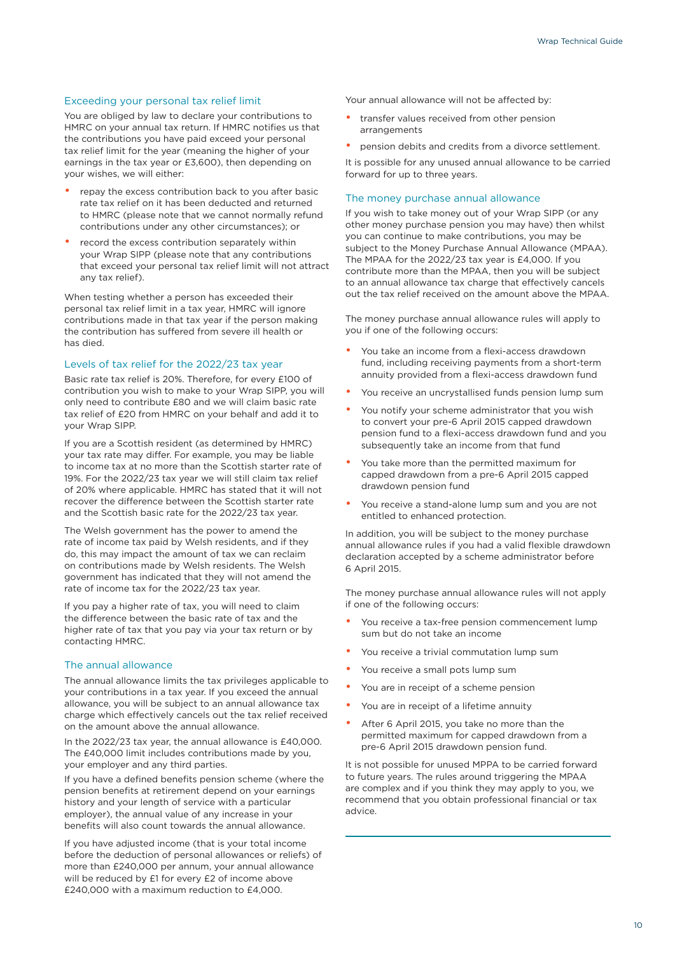#### Exceeding your personal tax relief limit

You are obliged by law to declare your contributions to HMRC on your annual tax return. If HMRC notifies us that the contributions you have paid exceed your personal tax relief limit for the year (meaning the higher of your earnings in the tax year or £3,600), then depending on your wishes, we will either:

- repay the excess contribution back to you after basic rate tax relief on it has been deducted and returned to HMRC (please note that we cannot normally refund contributions under any other circumstances); or
- record the excess contribution separately within your Wrap SIPP (please note that any contributions that exceed your personal tax relief limit will not attract any tax relief).

When testing whether a person has exceeded their personal tax relief limit in a tax year, HMRC will ignore contributions made in that tax year if the person making the contribution has suffered from severe ill health or has died.

#### Levels of tax relief for the 2022/23 tax year

Basic rate tax relief is 20%. Therefore, for every £100 of contribution you wish to make to your Wrap SIPP, you will only need to contribute £80 and we will claim basic rate tax relief of £20 from HMRC on your behalf and add it to your Wrap SIPP.

If you are a Scottish resident (as determined by HMRC) your tax rate may differ. For example, you may be liable to income tax at no more than the Scottish starter rate of 19%. For the 2022/23 tax year we will still claim tax relief of 20% where applicable. HMRC has stated that it will not recover the difference between the Scottish starter rate and the Scottish basic rate for the 2022/23 tax year.

The Welsh government has the power to amend the rate of income tax paid by Welsh residents, and if they do, this may impact the amount of tax we can reclaim on contributions made by Welsh residents. The Welsh government has indicated that they will not amend the rate of income tax for the 2022/23 tax year.

If you pay a higher rate of tax, you will need to claim the difference between the basic rate of tax and the higher rate of tax that you pay via your tax return or by contacting HMRC.

#### The annual allowance

The annual allowance limits the tax privileges applicable to your contributions in a tax year. If you exceed the annual allowance, you will be subject to an annual allowance tax charge which effectively cancels out the tax relief received on the amount above the annual allowance.

In the 2022/23 tax year, the annual allowance is £40,000. The £40,000 limit includes contributions made by you, your employer and any third parties.

If you have a defined benefits pension scheme (where the pension benefits at retirement depend on your earnings history and your length of service with a particular employer), the annual value of any increase in your benefits will also count towards the annual allowance.

If you have adjusted income (that is your total income before the deduction of personal allowances or reliefs) of more than £240,000 per annum, your annual allowance will be reduced by £1 for every £2 of income above £240,000 with a maximum reduction to £4,000.

Your annual allowance will not be affected by:

- transfer values received from other pension arrangements
- pension debits and credits from a divorce settlement.

It is possible for any unused annual allowance to be carried forward for up to three years.

#### The money purchase annual allowance

If you wish to take money out of your Wrap SIPP (or any other money purchase pension you may have) then whilst you can continue to make contributions, you may be subject to the Money Purchase Annual Allowance (MPAA). The MPAA for the 2022/23 tax year is £4,000. If you contribute more than the MPAA, then you will be subject to an annual allowance tax charge that effectively cancels out the tax relief received on the amount above the MPAA.

The money purchase annual allowance rules will apply to you if one of the following occurs:

- You take an income from a flexi-access drawdown fund, including receiving payments from a short-term annuity provided from a flexi-access drawdown fund
- You receive an uncrystallised funds pension lump sum
- You notify your scheme administrator that you wish to convert your pre-6 April 2015 capped drawdown pension fund to a flexi-access drawdown fund and you subsequently take an income from that fund
- You take more than the permitted maximum for capped drawdown from a pre-6 April 2015 capped drawdown pension fund
- You receive a stand-alone lump sum and you are not entitled to enhanced protection.

In addition, you will be subject to the money purchase annual allowance rules if you had a valid flexible drawdown declaration accepted by a scheme administrator before 6 April 2015.

The money purchase annual allowance rules will not apply if one of the following occurs:

- You receive a tax-free pension commencement lump sum but do not take an income
- You receive a trivial commutation lump sum
- You receive a small pots lump sum
- You are in receipt of a scheme pension
- You are in receipt of a lifetime annuity
- After 6 April 2015, you take no more than the permitted maximum for capped drawdown from a pre-6 April 2015 drawdown pension fund.

It is not possible for unused MPPA to be carried forward to future years. The rules around triggering the MPAA are complex and if you think they may apply to you, we recommend that you obtain professional financial or tax advice.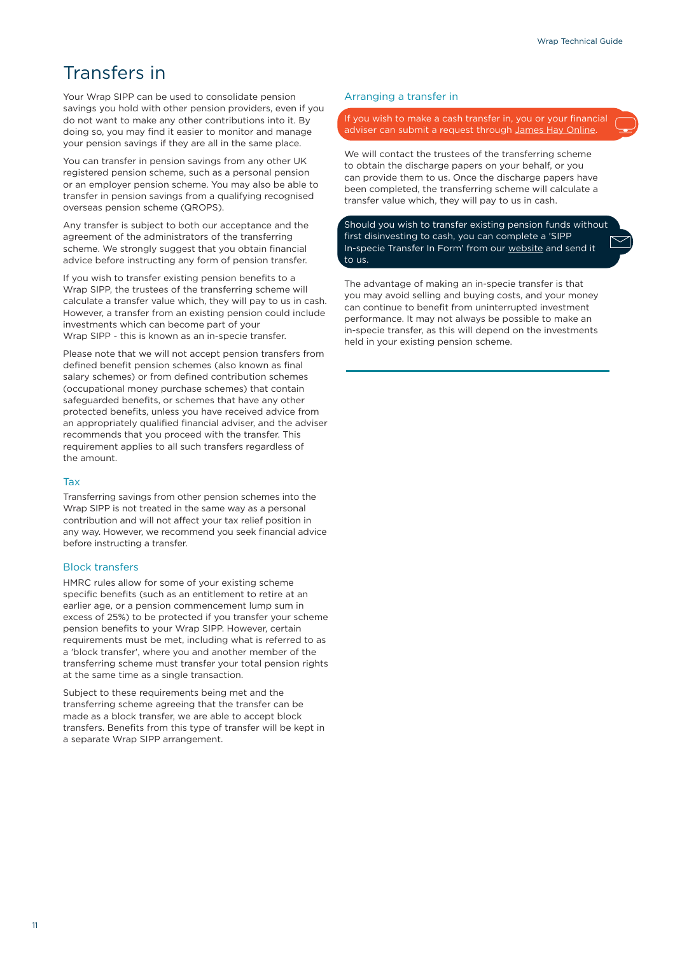### Transfers in

Your Wrap SIPP can be used to consolidate pension savings you hold with other pension providers, even if you do not want to make any other contributions into it. By doing so, you may find it easier to monitor and manage your pension savings if they are all in the same place.

You can transfer in pension savings from any other UK registered pension scheme, such as a personal pension or an employer pension scheme. You may also be able to transfer in pension savings from a qualifying recognised overseas pension scheme (QROPS).

Any transfer is subject to both our acceptance and the agreement of the administrators of the transferring scheme. We strongly suggest that you obtain financial advice before instructing any form of pension transfer.

If you wish to transfer existing pension benefits to a Wrap SIPP, the trustees of the transferring scheme will calculate a transfer value which, they will pay to us in cash. However, a transfer from an existing pension could include investments which can become part of your Wrap SIPP - this is known as an in-specie transfer.

Please note that we will not accept pension transfers from defined benefit pension schemes (also known as final salary schemes) or from defined contribution schemes (occupational money purchase schemes) that contain safeguarded benefits, or schemes that have any other protected benefits, unless you have received advice from an appropriately qualified financial adviser, and the adviser recommends that you proceed with the transfer. This requirement applies to all such transfers regardless of the amount.

#### Tax

Transferring savings from other pension schemes into the Wrap SIPP is not treated in the same way as a personal contribution and will not affect your tax relief position in any way. However, we recommend you seek financial advice before instructing a transfer.

#### Block transfers

HMRC rules allow for some of your existing scheme specific benefits (such as an entitlement to retire at an earlier age, or a pension commencement lump sum in excess of 25%) to be protected if you transfer your scheme pension benefits to your Wrap SIPP. However, certain requirements must be met, including what is referred to as a 'block transfer', where you and another member of the transferring scheme must transfer your total pension rights at the same time as a single transaction.

Subject to these requirements being met and the transferring scheme agreeing that the transfer can be made as a block transfer, we are able to accept block transfers. Benefits from this type of transfer will be kept in a separate Wrap SIPP arrangement.

#### Arranging a transfer in

If you wish to make a cash transfer in, you or your financial adviser can submit a request through [James Hay Online](https://www.jameshay.co.uk/online-and-in-control).

We will contact the trustees of the transferring scheme to obtain the discharge papers on your behalf, or you can provide them to us. Once the discharge papers have been completed, the transferring scheme will calculate a transfer value which, they will pay to us in cash.

Should you wish to transfer existing pension funds without first disinvesting to cash, you can complete a 'SIPP In-specie Transfer In Form' from our [website](https://www.jameshay.co.uk/product-literature/wrap/wrap-sipp/) and send it to us.

The advantage of making an in-specie transfer is that you may avoid selling and buying costs, and your money can continue to benefit from uninterrupted investment performance. It may not always be possible to make an in-specie transfer, as this will depend on the investments held in your existing pension scheme.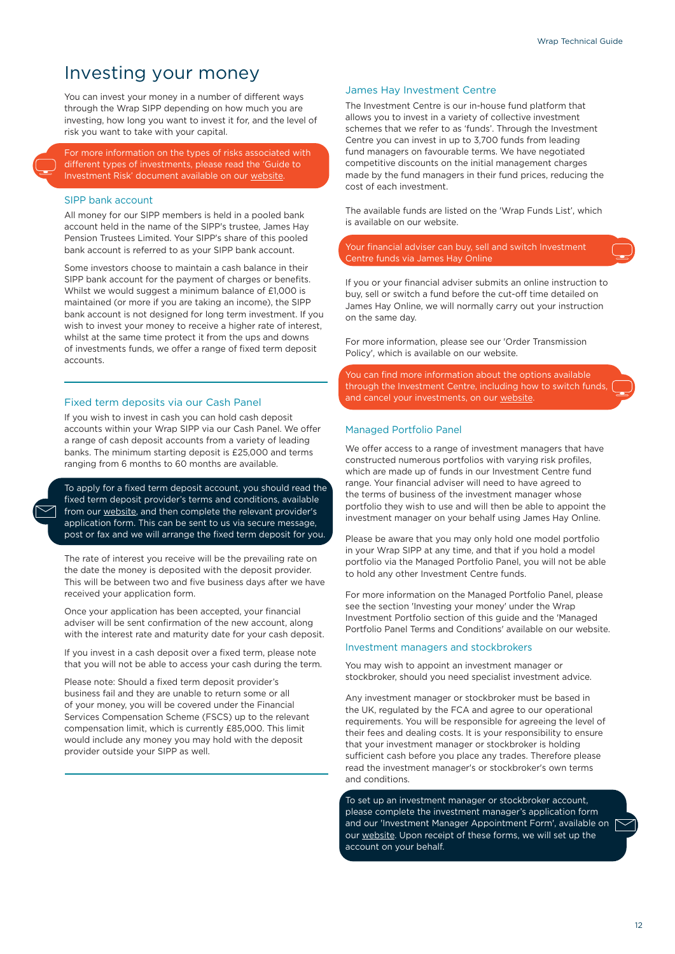### Investing your money

You can invest your money in a number of different ways through the Wrap SIPP depending on how much you are investing, how long you want to invest it for, and the level of risk you want to take with your capital.

For more information on the types of risks associated with different types of investments, please read the 'Guide to Investment Risk' document available on our [website.](https://www.jameshay.co.uk/information/popular-links/investments-understanding-the-risks/)

#### SIPP bank account

All money for our SIPP members is held in a pooled bank account held in the name of the SIPP's trustee, James Hay Pension Trustees Limited. Your SIPP's share of this pooled bank account is referred to as your SIPP bank account.

Some investors choose to maintain a cash balance in their SIPP bank account for the payment of charges or benefits. Whilst we would suggest a minimum balance of £1,000 is maintained (or more if you are taking an income), the SIPP bank account is not designed for long term investment. If you wish to invest your money to receive a higher rate of interest, whilst at the same time protect it from the ups and downs of investments funds, we offer a range of fixed term deposit accounts.

#### Fixed term deposits via our Cash Panel

If you wish to invest in cash you can hold cash deposit accounts within your Wrap SIPP via our Cash Panel. We offer a range of cash deposit accounts from a variety of leading banks. The minimum starting deposit is £25,000 and terms ranging from 6 months to 60 months are available.

To apply for a fixed term deposit account, you should read the fixed term deposit provider's terms and conditions, available from our [website](https://www.jameshay.co.uk/information/popular-links/investments-understanding-the-risks/), and then complete the relevant provider's application form. This can be sent to us via secure message, post or fax and we will arrange the fixed term deposit for you.

The rate of interest you receive will be the prevailing rate on the date the money is deposited with the deposit provider. This will be between two and five business days after we have received your application form.

Once your application has been accepted, your financial adviser will be sent confirmation of the new account, along with the interest rate and maturity date for your cash deposit.

If you invest in a cash deposit over a fixed term, please note that you will not be able to access your cash during the term.

Please note: Should a fixed term deposit provider's business fail and they are unable to return some or all of your money, you will be covered under the Financial Services Compensation Scheme (FSCS) up to the relevant compensation limit, which is currently £85,000. This limit would include any money you may hold with the deposit provider outside your SIPP as well.

#### James Hay Investment Centre

The Investment Centre is our in-house fund platform that allows you to invest in a variety of collective investment schemes that we refer to as 'funds'. Through the Investment Centre you can invest in up to 3,700 funds from leading fund managers on favourable terms. We have negotiated competitive discounts on the initial management charges made by the fund managers in their fund prices, reducing the cost of each investment.

The available funds are listed on the 'Wrap Funds List', which is available on our website.

Your financial adviser can buy, sell and switch Investment Centre funds via James Hay Online

If you or your financial adviser submits an online instruction to buy, sell or switch a fund before the cut-off time detailed on James Hay Online, we will normally carry out your instruction on the same day.

For more information, please see our 'Order Transmission Policy', which is available on our website.

You can find more information about the options available through the Investment Centre, including how to switch funds, and cancel your investments, on our [website.](https://www.jameshay.co.uk/our-products-services/investments/investment-centre/)

#### Managed Portfolio Panel

We offer access to a range of investment managers that have constructed numerous portfolios with varying risk profiles, which are made up of funds in our Investment Centre fund range. Your financial adviser will need to have agreed to the terms of business of the investment manager whose portfolio they wish to use and will then be able to appoint the investment manager on your behalf using James Hay Online.

Please be aware that you may only hold one model portfolio in your Wrap SIPP at any time, and that if you hold a model portfolio via the Managed Portfolio Panel, you will not be able to hold any other Investment Centre funds.

For more information on the Managed Portfolio Panel, please see the section 'Investing your money' under the Wrap Investment Portfolio section of this guide and the 'Managed Portfolio Panel Terms and Conditions' available on our website.

#### Investment managers and stockbrokers

You may wish to appoint an investment manager or stockbroker, should you need specialist investment advice.

Any investment manager or stockbroker must be based in the UK, regulated by the FCA and agree to our operational requirements. You will be responsible for agreeing the level of their fees and dealing costs. It is your responsibility to ensure that your investment manager or stockbroker is holding sufficient cash before you place any trades. Therefore please read the investment manager's or stockbroker's own terms and conditions.

To set up an investment manager or stockbroker account, please complete the investment manager's application form and our 'Investment Manager Appointment Form', available on [ our [website](https://www.jameshay.co.uk/product-literature/wrap/wrap-sipp/). Upon receipt of these forms, we will set up the account on your behalf.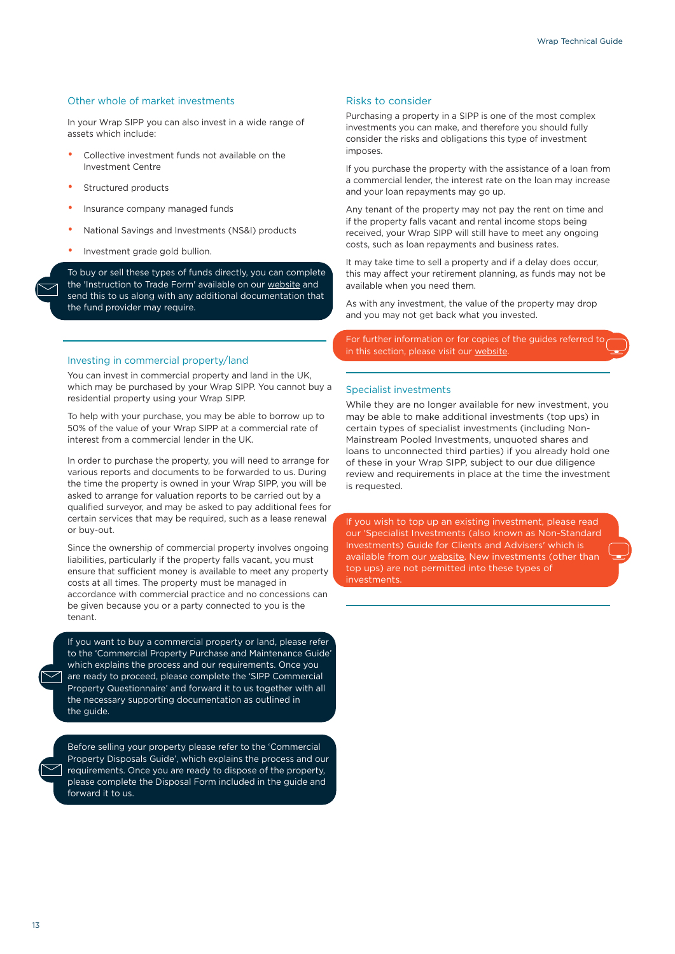#### Other whole of market investments

In your Wrap SIPP you can also invest in a wide range of assets which include:

- Collective investment funds not available on the Investment Centre
- Structured products
- Insurance company managed funds
- National Savings and Investments (NS&I) products
- Investment grade gold bullion.

To buy or sell these types of funds directly, you can complete the 'Instruction to Trade Form' available on our [website](https://www.jameshay.co.uk/product-literature/wrap/wrap-sipp/) and send this to us along with any additional documentation that the fund provider may require.

#### Investing in commercial property/land

You can invest in commercial property and land in the UK, which may be purchased by your Wrap SIPP. You cannot buy a residential property using your Wrap SIPP.

To help with your purchase, you may be able to borrow up to 50% of the value of your Wrap SIPP at a commercial rate of interest from a commercial lender in the UK.

In order to purchase the property, you will need to arrange for various reports and documents to be forwarded to us. During the time the property is owned in your Wrap SIPP, you will be asked to arrange for valuation reports to be carried out by a qualified surveyor, and may be asked to pay additional fees for certain services that may be required, such as a lease renewal or buy-out.

Since the ownership of commercial property involves ongoing liabilities, particularly if the property falls vacant, you must ensure that sufficient money is available to meet any property costs at all times. The property must be managed in accordance with commercial practice and no concessions can be given because you or a party connected to you is the tenant.

If you want to buy a commercial property or land, please refer to the 'Commercial Property Purchase and Maintenance Guide' which explains the process and our requirements. Once you are ready to proceed, please complete the 'SIPP Commercial Property Questionnaire' and forward it to us together with all the necessary supporting documentation as outlined in the guide.

Before selling your property please refer to the 'Commercial Property Disposals Guide', which explains the process and our requirements. Once you are ready to dispose of the property, please complete the Disposal Form included in the guide and forward it to us.

#### Risks to consider

Purchasing a property in a SIPP is one of the most complex investments you can make, and therefore you should fully consider the risks and obligations this type of investment imposes.

If you purchase the property with the assistance of a loan from a commercial lender, the interest rate on the loan may increase and your loan repayments may go up.

Any tenant of the property may not pay the rent on time and if the property falls vacant and rental income stops being received, your Wrap SIPP will still have to meet any ongoing costs, such as loan repayments and business rates.

It may take time to sell a property and if a delay does occur, this may affect your retirement planning, as funds may not be available when you need them.

As with any investment, the value of the property may drop and you may not get back what you invested.

For further information or for copies of the guides referred to in this section, please visit our [website.](https://www.jameshay.co.uk/product-literature/wrap/wrap-sipp/)

#### Specialist investments

While they are no longer available for new investment, you may be able to make additional investments (top ups) in certain types of specialist investments (including Non-Mainstream Pooled Investments, unquoted shares and loans to unconnected third parties) if you already hold one of these in your Wrap SIPP, subject to our due diligence review and requirements in place at the time the investment is requested.

If you wish to top up an existing investment, please read our 'Specialist Investments (also known as Non-Standard Investments) Guide for Clients and Advisers' which is available from our [website.](https://www.jameshay.co.uk/product-literature/wrap/wrap-sipp/) New investments (other than top ups) are not permitted into these types of investments.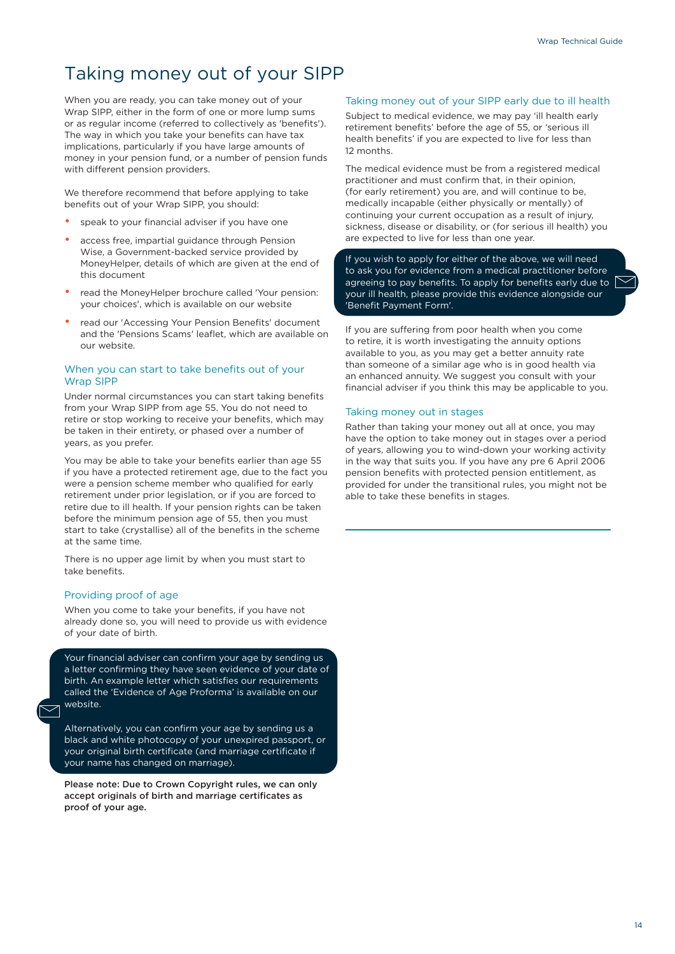### Taking money out of your SIPP

When you are ready, you can take money out of your Wrap SIPP, either in the form of one or more lump sums or as regular income (referred to collectively as 'benefits'). The way in which you take your benefits can have tax implications, particularly if you have large amounts of money in your pension fund, or a number of pension funds with different pension providers.

We therefore recommend that before applying to take benefits out of your Wrap SIPP, you should:

- speak to your financial adviser if you have one
- access free, impartial guidance through Pension Wise, a Government-backed service provided by MoneyHelper, details of which are given at the end of this document
- read the MoneyHelper brochure called 'Your pension: your choices', which is available on our website
- read our 'Accessing Your Pension Benefits' document and the 'Pensions Scams' leaflet, which are available on our website.

#### When you can start to take benefits out of your Wrap SIPP

Under normal circumstances you can start taking benefits from your Wrap SIPP from age 55. You do not need to retire or stop working to receive your benefits, which may be taken in their entirety, or phased over a number of years, as you prefer.

You may be able to take your benefits earlier than age 55 if you have a protected retirement age, due to the fact you were a pension scheme member who qualified for early retirement under prior legislation, or if you are forced to retire due to ill health. If your pension rights can be taken before the minimum pension age of 55, then you must start to take (crystallise) all of the benefits in the scheme at the same time.

There is no upper age limit by when you must start to take benefits.

#### Providing proof of age

When you come to take your benefits, if you have not already done so, you will need to provide us with evidence of your date of birth.

Your financial adviser can confirm your age by sending us a letter confirming they have seen evidence of your date of birth. An example letter which satisfies our requirements called the 'Evidence of Age Proforma' is available on our website.

Alternatively, you can confirm your age by sending us a black and white photocopy of your unexpired passport, or your original birth certificate (and marriage certificate if your name has changed on marriage).

Please note: Due to Crown Copyright rules, we can only accept originals of birth and marriage certificates as proof of your age.

#### Taking money out of your SIPP early due to ill health

Subject to medical evidence, we may pay 'ill health early retirement benefits' before the age of 55, or 'serious ill health benefits' if you are expected to live for less than 12 months.

The medical evidence must be from a registered medical practitioner and must confirm that, in their opinion, (for early retirement) you are, and will continue to be, medically incapable (either physically or mentally) of continuing your current occupation as a result of injury, sickness, disease or disability, or (for serious ill health) you are expected to live for less than one year.

If you wish to apply for either of the above, we will need to ask you for evidence from a medical practitioner before agreeing to pay benefits. To apply for benefits early due to  $\int$ your ill health, please provide this evidence alongside our 'Benefit Payment Form'.

If you are suffering from poor health when you come to retire, it is worth investigating the annuity options available to you, as you may get a better annuity rate than someone of a similar age who is in good health via an enhanced annuity. We suggest you consult with your financial adviser if you think this may be applicable to you.

#### Taking money out in stages

Rather than taking your money out all at once, you may have the option to take money out in stages over a period of years, allowing you to wind-down your working activity in the way that suits you. If you have any pre 6 April 2006 pension benefits with protected pension entitlement, as provided for under the transitional rules, you might not be able to take these benefits in stages.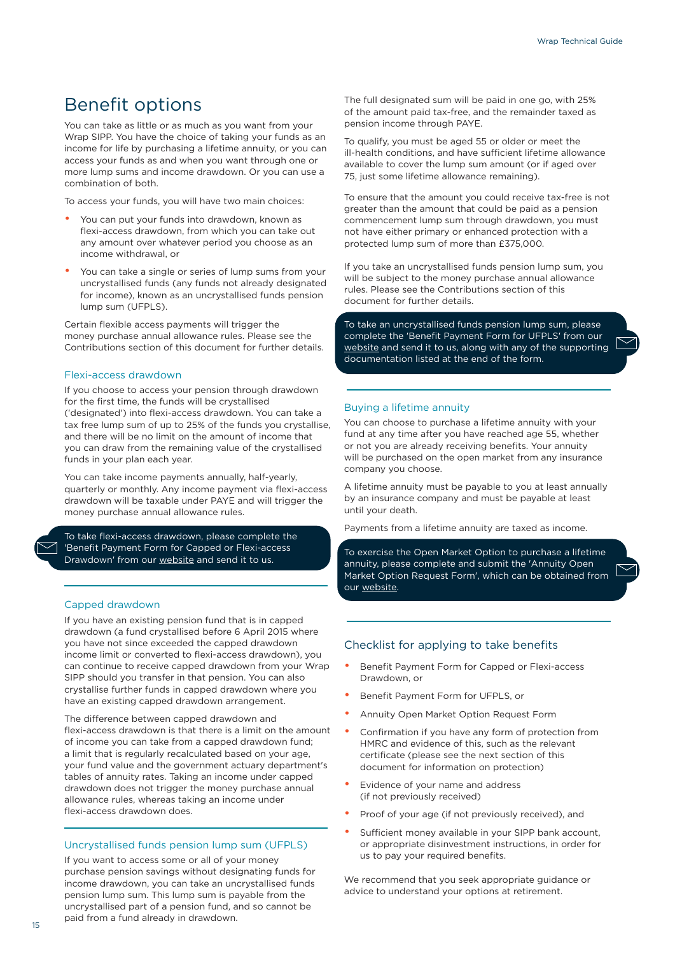### Benefit options

You can take as little or as much as you want from your Wrap SIPP. You have the choice of taking your funds as an income for life by purchasing a lifetime annuity, or you can access your funds as and when you want through one or more lump sums and income drawdown. Or you can use a combination of both.

To access your funds, you will have two main choices:

- You can put your funds into drawdown, known as flexi-access drawdown, from which you can take out any amount over whatever period you choose as an income withdrawal, or
- You can take a single or series of lump sums from your uncrystallised funds (any funds not already designated for income), known as an uncrystallised funds pension lump sum (UFPLS).

Certain flexible access payments will trigger the money purchase annual allowance rules. Please see the Contributions section of this document for further details.

#### Flexi-access drawdown

If you choose to access your pension through drawdown for the first time, the funds will be crystallised ('designated') into flexi-access drawdown. You can take a tax free lump sum of up to 25% of the funds you crystallise, and there will be no limit on the amount of income that you can draw from the remaining value of the crystallised funds in your plan each year.

You can take income payments annually, half-yearly, quarterly or monthly. Any income payment via flexi-access drawdown will be taxable under PAYE and will trigger the money purchase annual allowance rules.

To take flexi-access drawdown, please complete the 'Benefit Payment Form for Capped or Flexi-access Drawdown' from our [website](https://www.jameshay.co.uk/product-literature/wrap/wrap-sipp/) and send it to us.

#### Capped drawdown

If you have an existing pension fund that is in capped drawdown (a fund crystallised before 6 April 2015 where you have not since exceeded the capped drawdown income limit or converted to flexi-access drawdown), you can continue to receive capped drawdown from your Wrap SIPP should you transfer in that pension. You can also crystallise further funds in capped drawdown where you have an existing capped drawdown arrangement.

The difference between capped drawdown and flexi-access drawdown is that there is a limit on the amount of income you can take from a capped drawdown fund; a limit that is regularly recalculated based on your age, your fund value and the government actuary department's tables of annuity rates. Taking an income under capped drawdown does not trigger the money purchase annual allowance rules, whereas taking an income under flexi-access drawdown does.

#### Uncrystallised funds pension lump sum (UFPLS)

If you want to access some or all of your money purchase pension savings without designating funds for income drawdown, you can take an uncrystallised funds pension lump sum. This lump sum is payable from the uncrystallised part of a pension fund, and so cannot be paid from a fund already in drawdown.

The full designated sum will be paid in one go, with 25% of the amount paid tax-free, and the remainder taxed as pension income through PAYE.

To qualify, you must be aged 55 or older or meet the ill-health conditions, and have sufficient lifetime allowance available to cover the lump sum amount (or if aged over 75, just some lifetime allowance remaining).

To ensure that the amount you could receive tax-free is not greater than the amount that could be paid as a pension commencement lump sum through drawdown, you must not have either primary or enhanced protection with a protected lump sum of more than £375,000.

If you take an uncrystallised funds pension lump sum, you will be subject to the money purchase annual allowance rules. Please see the Contributions section of this document for further details.

To take an uncrystallised funds pension lump sum, please complete the 'Benefit Payment Form for UFPLS' from our [website](https://www.jameshay.co.uk/product-literature/wrap/wrap-sipp/) and send it to us, along with any of the supporting documentation listed at the end of the form.

#### Buying a lifetime annuity

You can choose to purchase a lifetime annuity with your fund at any time after you have reached age 55, whether or not you are already receiving benefits. Your annuity will be purchased on the open market from any insurance company you choose.

A lifetime annuity must be payable to you at least annually by an insurance company and must be payable at least until your death.

Payments from a lifetime annuity are taxed as income.

To exercise the Open Market Option to purchase a lifetime annuity, please complete and submit the 'Annuity Open Market Option Request Form', which can be obtained from our [website.](https://www.jameshay.co.uk/product-literature/wrap/wrap-sipp/)

#### Checklist for applying to take benefits

- Benefit Payment Form for Capped or Flexi-access Drawdown, or
- Benefit Payment Form for UFPLS, or
- Annuity Open Market Option Request Form
- Confirmation if you have any form of protection from HMRC and evidence of this, such as the relevant certificate (please see the next section of this document for information on protection)
- Evidence of your name and address (if not previously received)
- Proof of your age (if not previously received), and
- Sufficient money available in your SIPP bank account, or appropriate disinvestment instructions, in order for us to pay your required benefits.

We recommend that you seek appropriate guidance or advice to understand your options at retirement.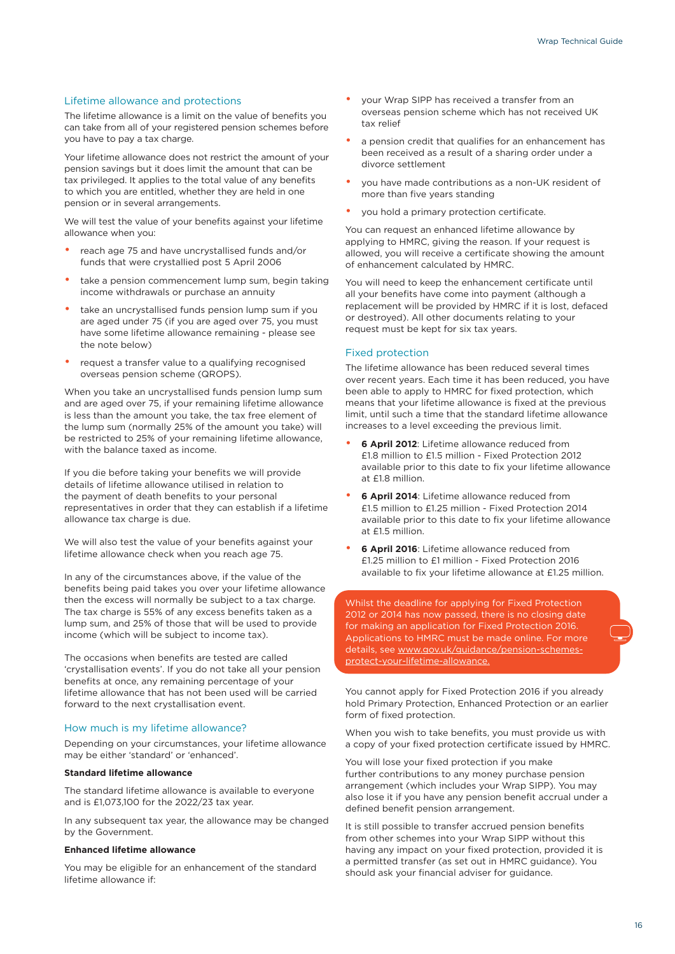#### Lifetime allowance and protections

The lifetime allowance is a limit on the value of benefits you can take from all of your registered pension schemes before you have to pay a tax charge.

Your lifetime allowance does not restrict the amount of your pension savings but it does limit the amount that can be tax privileged. It applies to the total value of any benefits to which you are entitled, whether they are held in one pension or in several arrangements.

We will test the value of your benefits against your lifetime allowance when you:

- reach age 75 and have uncrystallised funds and/or funds that were crystallied post 5 April 2006
- take a pension commencement lump sum, begin taking income withdrawals or purchase an annuity
- take an uncrystallised funds pension lump sum if you are aged under 75 (if you are aged over 75, you must have some lifetime allowance remaining - please see the note below)
- request a transfer value to a qualifying recognised overseas pension scheme (QROPS).

When you take an uncrystallised funds pension lump sum and are aged over 75, if your remaining lifetime allowance is less than the amount you take, the tax free element of the lump sum (normally 25% of the amount you take) will be restricted to 25% of your remaining lifetime allowance, with the balance taxed as income.

If you die before taking your benefits we will provide details of lifetime allowance utilised in relation to the payment of death benefits to your personal representatives in order that they can establish if a lifetime allowance tax charge is due.

We will also test the value of your benefits against your lifetime allowance check when you reach age 75.

In any of the circumstances above, if the value of the benefits being paid takes you over your lifetime allowance then the excess will normally be subject to a tax charge. The tax charge is 55% of any excess benefits taken as a lump sum, and 25% of those that will be used to provide income (which will be subject to income tax).

The occasions when benefits are tested are called 'crystallisation events'. If you do not take all your pension benefits at once, any remaining percentage of your lifetime allowance that has not been used will be carried forward to the next crystallisation event.

#### How much is my lifetime allowance?

Depending on your circumstances, your lifetime allowance may be either 'standard' or 'enhanced'.

#### **Standard lifetime allowance**

The standard lifetime allowance is available to everyone and is £1,073,100 for the 2022/23 tax year.

In any subsequent tax year, the allowance may be changed by the Government.

#### **Enhanced lifetime allowance**

You may be eligible for an enhancement of the standard lifetime allowance if:

- your Wrap SIPP has received a transfer from an overseas pension scheme which has not received UK tax relief
- a pension credit that qualifies for an enhancement has been received as a result of a sharing order under a divorce settlement
- you have made contributions as a non-UK resident of more than five years standing
- you hold a primary protection certificate.

You can request an enhanced lifetime allowance by applying to HMRC, giving the reason. If your request is allowed, you will receive a certificate showing the amount of enhancement calculated by HMRC.

You will need to keep the enhancement certificate until all your benefits have come into payment (although a replacement will be provided by HMRC if it is lost, defaced or destroyed). All other documents relating to your request must be kept for six tax years.

#### Fixed protection

The lifetime allowance has been reduced several times over recent years. Each time it has been reduced, you have been able to apply to HMRC for fixed protection, which means that your lifetime allowance is fixed at the previous limit, until such a time that the standard lifetime allowance increases to a level exceeding the previous limit.

- **6 April 2012:** Lifetime allowance reduced from £1.8 million to £1.5 million - Fixed Protection 2012 available prior to this date to fix your lifetime allowance at £1.8 million
- **6 April 2014**: Lifetime allowance reduced from £1.5 million to £1.25 million - Fixed Protection 2014 available prior to this date to fix your lifetime allowance at £1.5 million.
- **6 April 2016**: Lifetime allowance reduced from £1.25 million to £1 million - Fixed Protection 2016 available to fix your lifetime allowance at £1.25 million.

Whilst the deadline for applying for Fixed Protection 2012 or 2014 has now passed, there is no closing date for making an application for Fixed Protection 2016. Applications to HMRC must be made online. For more details, see [www.gov.uk/guidance/pension-schemes](http://www.gov.uk/guidance/pension-schemes-protect-your-lifetime-allowance)[protect-your-lifetime-allowance](http://www.gov.uk/guidance/pension-schemes-protect-your-lifetime-allowance).

You cannot apply for Fixed Protection 2016 if you already hold Primary Protection, Enhanced Protection or an earlier form of fixed protection.

When you wish to take benefits, you must provide us with a copy of your fixed protection certificate issued by HMRC.

You will lose your fixed protection if you make further contributions to any money purchase pension arrangement (which includes your Wrap SIPP). You may also lose it if you have any pension benefit accrual under a defined benefit pension arrangement.

It is still possible to transfer accrued pension benefits from other schemes into your Wrap SIPP without this having any impact on your fixed protection, provided it is a permitted transfer (as set out in HMRC guidance). You should ask your financial adviser for guidance.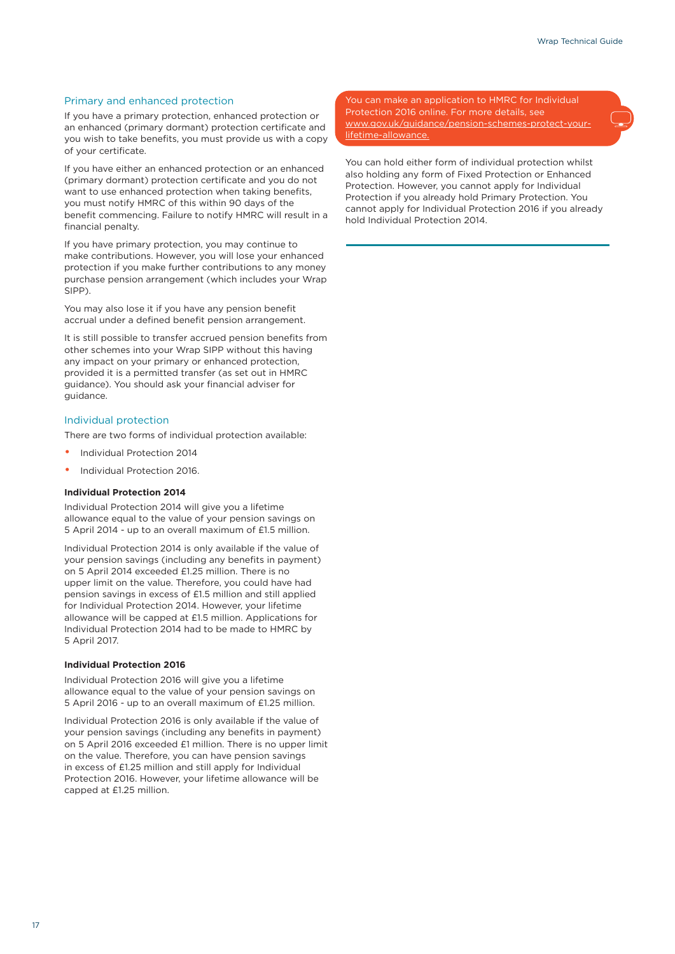#### Primary and enhanced protection

If you have a primary protection, enhanced protection or an enhanced (primary dormant) protection certificate and you wish to take benefits, you must provide us with a copy of your certificate.

If you have either an enhanced protection or an enhanced (primary dormant) protection certificate and you do not want to use enhanced protection when taking benefits, you must notify HMRC of this within 90 days of the benefit commencing. Failure to notify HMRC will result in a financial penalty.

If you have primary protection, you may continue to make contributions. However, you will lose your enhanced protection if you make further contributions to any money purchase pension arrangement (which includes your Wrap SIPP).

You may also lose it if you have any pension benefit accrual under a defined benefit pension arrangement.

It is still possible to transfer accrued pension benefits from other schemes into your Wrap SIPP without this having any impact on your primary or enhanced protection, provided it is a permitted transfer (as set out in HMRC guidance). You should ask your financial adviser for guidance.

#### Individual protection

There are two forms of individual protection available:

- Individual Protection 2014
- Individual Protection 2016.

#### **Individual Protection 2014**

Individual Protection 2014 will give you a lifetime allowance equal to the value of your pension savings on 5 April 2014 - up to an overall maximum of £1.5 million.

Individual Protection 2014 is only available if the value of your pension savings (including any benefits in payment) on 5 April 2014 exceeded £1.25 million. There is no upper limit on the value. Therefore, you could have had pension savings in excess of £1.5 million and still applied for Individual Protection 2014. However, your lifetime allowance will be capped at £1.5 million. Applications for Individual Protection 2014 had to be made to HMRC by 5 April 2017.

#### **Individual Protection 2016**

Individual Protection 2016 will give you a lifetime allowance equal to the value of your pension savings on 5 April 2016 - up to an overall maximum of £1.25 million.

Individual Protection 2016 is only available if the value of your pension savings (including any benefits in payment) on 5 April 2016 exceeded £1 million. There is no upper limit on the value. Therefore, you can have pension savings in excess of £1.25 million and still apply for Individual Protection 2016. However, your lifetime allowance will be capped at £1.25 million.

You can make an application to HMRC for Individual Protection 2016 online. For more details, see [www.gov.uk/guidance/pension-schemes-protect-your](http://www.gov.uk/guidance/pension-schemes-protect-your-lifetime-allowance)[lifetime-allowance.](http://www.gov.uk/guidance/pension-schemes-protect-your-lifetime-allowance)

You can hold either form of individual protection whilst also holding any form of Fixed Protection or Enhanced Protection. However, you cannot apply for Individual Protection if you already hold Primary Protection. You cannot apply for Individual Protection 2016 if you already hold Individual Protection 2014.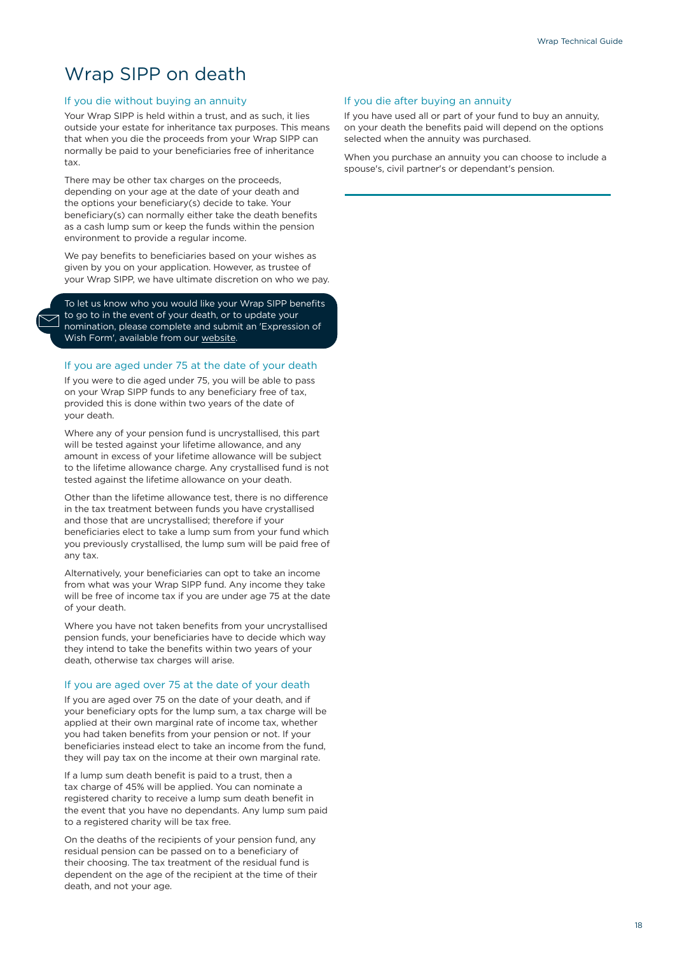### Wrap SIPP on death

#### If you die without buying an annuity

Your Wrap SIPP is held within a trust, and as such, it lies outside your estate for inheritance tax purposes. This means that when you die the proceeds from your Wrap SIPP can normally be paid to your beneficiaries free of inheritance tax.

There may be other tax charges on the proceeds, depending on your age at the date of your death and the options your beneficiary(s) decide to take. Your beneficiary(s) can normally either take the death benefits as a cash lump sum or keep the funds within the pension environment to provide a regular income.

We pay benefits to beneficiaries based on your wishes as given by you on your application. However, as trustee of your Wrap SIPP, we have ultimate discretion on who we pay.

To let us know who you would like your Wrap SIPP benefits to go to in the event of your death, or to update your nomination, please complete and submit an 'Expression of Wish Form', available from our [website.](https://www.jameshay.co.uk/product-literature/wrap/wrap-sipp/)

#### If you are aged under 75 at the date of your death

If you were to die aged under 75, you will be able to pass on your Wrap SIPP funds to any beneficiary free of tax, provided this is done within two years of the date of your death.

Where any of your pension fund is uncrystallised, this part will be tested against your lifetime allowance, and any amount in excess of your lifetime allowance will be subject to the lifetime allowance charge. Any crystallised fund is not tested against the lifetime allowance on your death.

Other than the lifetime allowance test, there is no difference in the tax treatment between funds you have crystallised and those that are uncrystallised; therefore if your beneficiaries elect to take a lump sum from your fund which you previously crystallised, the lump sum will be paid free of any tax.

Alternatively, your beneficiaries can opt to take an income from what was your Wrap SIPP fund. Any income they take will be free of income tax if you are under age 75 at the date of your death.

Where you have not taken benefits from your uncrystallised pension funds, your beneficiaries have to decide which way they intend to take the benefits within two years of your death, otherwise tax charges will arise.

#### If you are aged over 75 at the date of your death

If you are aged over 75 on the date of your death, and if your beneficiary opts for the lump sum, a tax charge will be applied at their own marginal rate of income tax, whether you had taken benefits from your pension or not. If your beneficiaries instead elect to take an income from the fund, they will pay tax on the income at their own marginal rate.

If a lump sum death benefit is paid to a trust, then a tax charge of 45% will be applied. You can nominate a registered charity to receive a lump sum death benefit in the event that you have no dependants. Any lump sum paid to a registered charity will be tax free.

On the deaths of the recipients of your pension fund, any residual pension can be passed on to a beneficiary of their choosing. The tax treatment of the residual fund is dependent on the age of the recipient at the time of their death, and not your age.

#### If you die after buying an annuity

If you have used all or part of your fund to buy an annuity, on your death the benefits paid will depend on the options selected when the annuity was purchased.

When you purchase an annuity you can choose to include a spouse's, civil partner's or dependant's pension.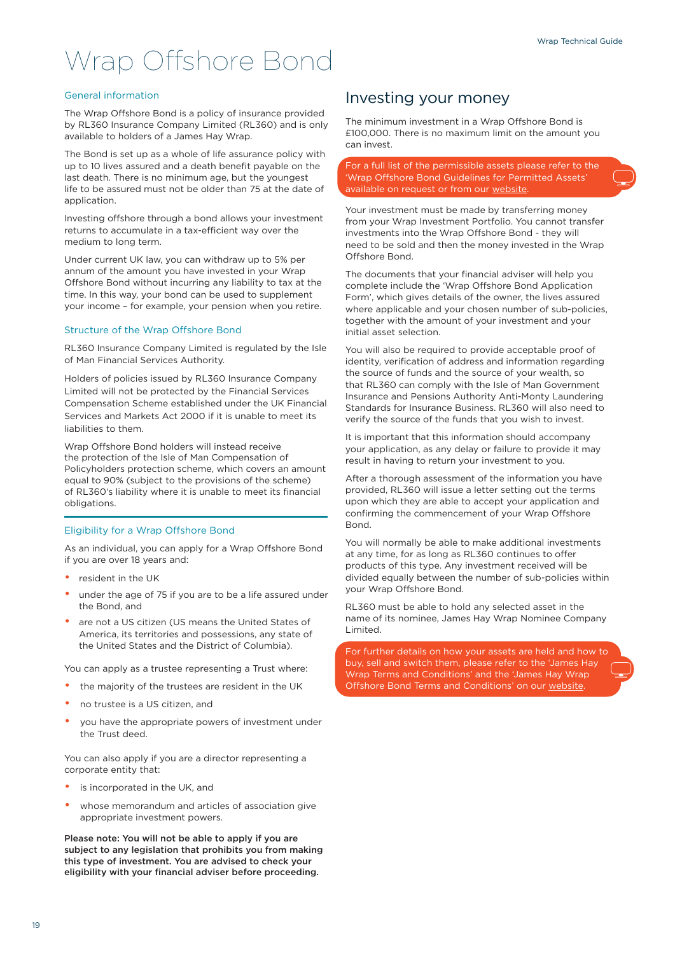## Wrap Offshore Bond

#### General information

The Wrap Offshore Bond is a policy of insurance provided by RL360 Insurance Company Limited (RL360) and is only available to holders of a James Hay Wrap.

The Bond is set up as a whole of life assurance policy with up to 10 lives assured and a death benefit payable on the last death. There is no minimum age, but the youngest life to be assured must not be older than 75 at the date of application.

Investing offshore through a bond allows your investment returns to accumulate in a tax-efficient way over the medium to long term.

Under current UK law, you can withdraw up to 5% per annum of the amount you have invested in your Wrap Offshore Bond without incurring any liability to tax at the time. In this way, your bond can be used to supplement your income – for example, your pension when you retire.

#### Structure of the Wrap Offshore Bond

RL360 Insurance Company Limited is regulated by the Isle of Man Financial Services Authority.

Holders of policies issued by RL360 Insurance Company Limited will not be protected by the Financial Services Compensation Scheme established under the UK Financial Services and Markets Act 2000 if it is unable to meet its liabilities to them.

Wrap Offshore Bond holders will instead receive the protection of the Isle of Man Compensation of Policyholders protection scheme, which covers an amount equal to 90% (subject to the provisions of the scheme) of RL360's liability where it is unable to meet its financial obligations.

#### Eligibility for a Wrap Offshore Bond

As an individual, you can apply for a Wrap Offshore Bond if you are over 18 years and:

- resident in the UK
- under the age of 75 if you are to be a life assured under the Bond, and
- are not a US citizen (US means the United States of America, its territories and possessions, any state of the United States and the District of Columbia).

You can apply as a trustee representing a Trust where:

- the majority of the trustees are resident in the UK
- no trustee is a US citizen, and
- you have the appropriate powers of investment under the Trust deed.

You can also apply if you are a director representing a corporate entity that:

- is incorporated in the UK, and
- whose memorandum and articles of association give appropriate investment powers.

Please note: You will not be able to apply if you are subject to any legislation that prohibits you from making this type of investment. You are advised to check your eligibility with your financial adviser before proceeding.

#### Investing your money

The minimum investment in a Wrap Offshore Bond is £100,000. There is no maximum limit on the amount you can invest.

For a full list of the permissible assets please refer to the 'Wrap Offshore Bond Guidelines for Permitted Assets' available on request or from our website

Your investment must be made by transferring money from your Wrap Investment Portfolio. You cannot transfer investments into the Wrap Offshore Bond - they will need to be sold and then the money invested in the Wrap Offshore Bond.

The documents that your financial adviser will help you complete include the 'Wrap Offshore Bond Application Form', which gives details of the owner, the lives assured where applicable and your chosen number of sub-policies, together with the amount of your investment and your initial asset selection.

You will also be required to provide acceptable proof of identity, verification of address and information regarding the source of funds and the source of your wealth, so that RL360 can comply with the Isle of Man Government Insurance and Pensions Authority Anti-Monty Laundering Standards for Insurance Business. RL360 will also need to verify the source of the funds that you wish to invest.

It is important that this information should accompany your application, as any delay or failure to provide it may result in having to return your investment to you.

After a thorough assessment of the information you have provided, RL360 will issue a letter setting out the terms upon which they are able to accept your application and confirming the commencement of your Wrap Offshore Bond.

You will normally be able to make additional investments at any time, for as long as RL360 continues to offer products of this type. Any investment received will be divided equally between the number of sub-policies within your Wrap Offshore Bond.

RL360 must be able to hold any selected asset in the name of its nominee, James Hay Wrap Nominee Company Limited.

For further details on how your assets are held and how to buy, sell and switch them, please refer to the 'James Hay Wrap Terms and Conditions' and the 'James Hay Wrap Offshore Bond Terms and Conditions' on our [website.](https://www.jameshay.co.uk/product-literature/wrap/wrap-offshore-bond/)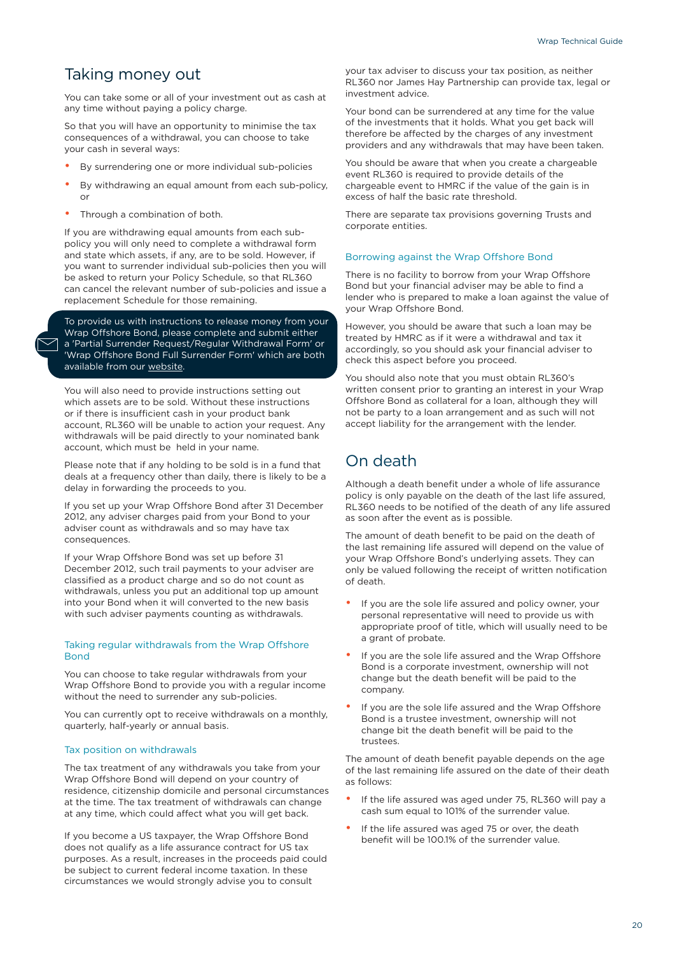### Taking money out

You can take some or all of your investment out as cash at any time without paying a policy charge.

So that you will have an opportunity to minimise the tax consequences of a withdrawal, you can choose to take your cash in several ways:

- By surrendering one or more individual sub-policies
- By withdrawing an equal amount from each sub-policy, or
- Through a combination of both.

If you are withdrawing equal amounts from each subpolicy you will only need to complete a withdrawal form and state which assets, if any, are to be sold. However, if you want to surrender individual sub-policies then you will be asked to return your Policy Schedule, so that RL360 can cancel the relevant number of sub-policies and issue a replacement Schedule for those remaining.

To provide us with instructions to release money from your Wrap Offshore Bond, please complete and submit either a 'Partial Surrender Request/Regular Withdrawal Form' or 'Wrap Offshore Bond Full Surrender Form' which are both available from our [website](https://www.jameshay.co.uk/product-literature/wrap/wrap-offshore-bond/).

You will also need to provide instructions setting out which assets are to be sold. Without these instructions or if there is insufficient cash in your product bank account, RL360 will be unable to action your request. Any withdrawals will be paid directly to your nominated bank account, which must be held in your name.

Please note that if any holding to be sold is in a fund that deals at a frequency other than daily, there is likely to be a delay in forwarding the proceeds to you.

If you set up your Wrap Offshore Bond after 31 December 2012, any adviser charges paid from your Bond to your adviser count as withdrawals and so may have tax consequences.

If your Wrap Offshore Bond was set up before 31 December 2012, such trail payments to your adviser are classified as a product charge and so do not count as withdrawals, unless you put an additional top up amount into your Bond when it will converted to the new basis with such adviser payments counting as withdrawals.

#### Taking regular withdrawals from the Wrap Offshore Bond

You can choose to take regular withdrawals from your Wrap Offshore Bond to provide you with a regular income without the need to surrender any sub-policies.

You can currently opt to receive withdrawals on a monthly, quarterly, half-yearly or annual basis.

#### Tax position on withdrawals

The tax treatment of any withdrawals you take from your Wrap Offshore Bond will depend on your country of residence, citizenship domicile and personal circumstances at the time. The tax treatment of withdrawals can change at any time, which could affect what you will get back.

If you become a US taxpayer, the Wrap Offshore Bond does not qualify as a life assurance contract for US tax purposes. As a result, increases in the proceeds paid could be subject to current federal income taxation. In these circumstances we would strongly advise you to consult

your tax adviser to discuss your tax position, as neither RL360 nor James Hay Partnership can provide tax, legal or investment advice.

Your bond can be surrendered at any time for the value of the investments that it holds. What you get back will therefore be affected by the charges of any investment providers and any withdrawals that may have been taken.

You should be aware that when you create a chargeable event RL360 is required to provide details of the chargeable event to HMRC if the value of the gain is in excess of half the basic rate threshold.

There are separate tax provisions governing Trusts and corporate entities.

#### Borrowing against the Wrap Offshore Bond

There is no facility to borrow from your Wrap Offshore Bond but your financial adviser may be able to find a lender who is prepared to make a loan against the value of your Wrap Offshore Bond.

However, you should be aware that such a loan may be treated by HMRC as if it were a withdrawal and tax it accordingly, so you should ask your financial adviser to check this aspect before you proceed.

You should also note that you must obtain RL360's written consent prior to granting an interest in your Wrap Offshore Bond as collateral for a loan, although they will not be party to a loan arrangement and as such will not accept liability for the arrangement with the lender.

### On death

Although a death benefit under a whole of life assurance policy is only payable on the death of the last life assured, RL360 needs to be notified of the death of any life assured as soon after the event as is possible.

The amount of death benefit to be paid on the death of the last remaining life assured will depend on the value of your Wrap Offshore Bond's underlying assets. They can only be valued following the receipt of written notification of death.

- If you are the sole life assured and policy owner, your personal representative will need to provide us with appropriate proof of title, which will usually need to be a grant of probate.
- If you are the sole life assured and the Wrap Offshore Bond is a corporate investment, ownership will not change but the death benefit will be paid to the company.
- If you are the sole life assured and the Wrap Offshore Bond is a trustee investment, ownership will not change bit the death benefit will be paid to the trustees.

The amount of death benefit payable depends on the age of the last remaining life assured on the date of their death as follows:

- If the life assured was aged under 75, RL360 will pay a cash sum equal to 101% of the surrender value.
- If the life assured was aged 75 or over, the death benefit will be 100.1% of the surrender value.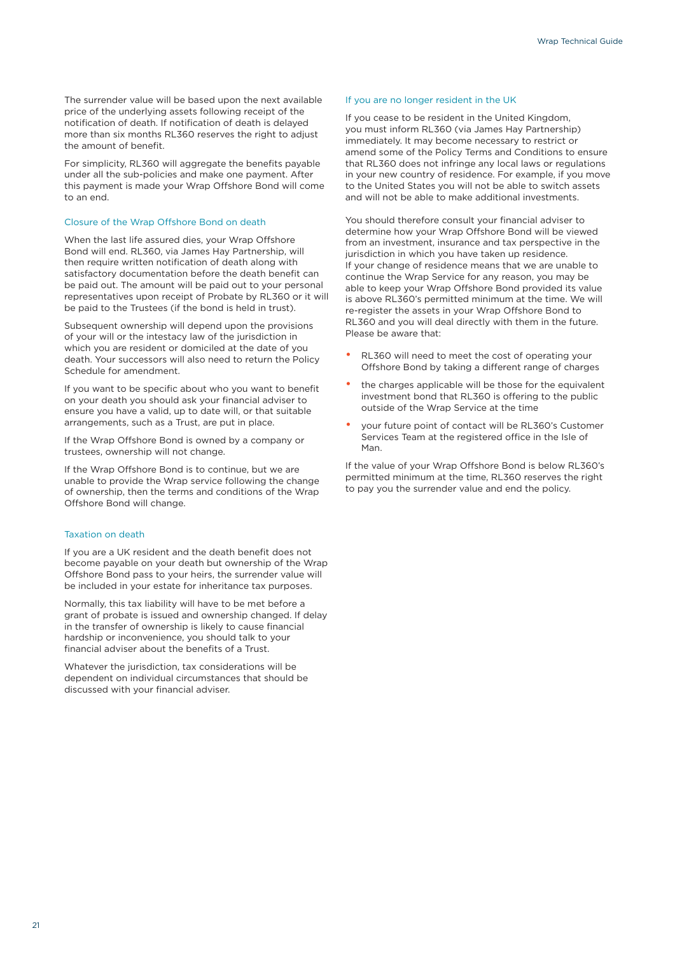The surrender value will be based upon the next available price of the underlying assets following receipt of the notification of death. If notification of death is delayed more than six months RL360 reserves the right to adjust the amount of benefit.

For simplicity, RL360 will aggregate the benefits payable under all the sub-policies and make one payment. After this payment is made your Wrap Offshore Bond will come to an end.

#### Closure of the Wrap Offshore Bond on death

When the last life assured dies, your Wrap Offshore Bond will end. RL360, via James Hay Partnership, will then require written notification of death along with satisfactory documentation before the death benefit can be paid out. The amount will be paid out to your personal representatives upon receipt of Probate by RL360 or it will be paid to the Trustees (if the bond is held in trust).

Subsequent ownership will depend upon the provisions of your will or the intestacy law of the jurisdiction in which you are resident or domiciled at the date of you death. Your successors will also need to return the Policy Schedule for amendment.

If you want to be specific about who you want to benefit on your death you should ask your financial adviser to ensure you have a valid, up to date will, or that suitable arrangements, such as a Trust, are put in place.

If the Wrap Offshore Bond is owned by a company or trustees, ownership will not change.

If the Wrap Offshore Bond is to continue, but we are unable to provide the Wrap service following the change of ownership, then the terms and conditions of the Wrap Offshore Bond will change.

#### Taxation on death

If you are a UK resident and the death benefit does not become payable on your death but ownership of the Wrap Offshore Bond pass to your heirs, the surrender value will be included in your estate for inheritance tax purposes.

Normally, this tax liability will have to be met before a grant of probate is issued and ownership changed. If delay in the transfer of ownership is likely to cause financial hardship or inconvenience, you should talk to your financial adviser about the benefits of a Trust.

Whatever the jurisdiction, tax considerations will be dependent on individual circumstances that should be discussed with your financial adviser.

#### If you are no longer resident in the UK

If you cease to be resident in the United Kingdom, you must inform RL360 (via James Hay Partnership) immediately. It may become necessary to restrict or amend some of the Policy Terms and Conditions to ensure that RL360 does not infringe any local laws or regulations in your new country of residence. For example, if you move to the United States you will not be able to switch assets and will not be able to make additional investments.

You should therefore consult your financial adviser to determine how your Wrap Offshore Bond will be viewed from an investment, insurance and tax perspective in the jurisdiction in which you have taken up residence. If your change of residence means that we are unable to continue the Wrap Service for any reason, you may be able to keep your Wrap Offshore Bond provided its value is above RL360's permitted minimum at the time. We will re-register the assets in your Wrap Offshore Bond to RL360 and you will deal directly with them in the future. Please be aware that:

- RL360 will need to meet the cost of operating your Offshore Bond by taking a different range of charges
- the charges applicable will be those for the equivalent investment bond that RL360 is offering to the public outside of the Wrap Service at the time
- your future point of contact will be RL360's Customer Services Team at the registered office in the Isle of Man.

If the value of your Wrap Offshore Bond is below RL360's permitted minimum at the time, RL360 reserves the right to pay you the surrender value and end the policy.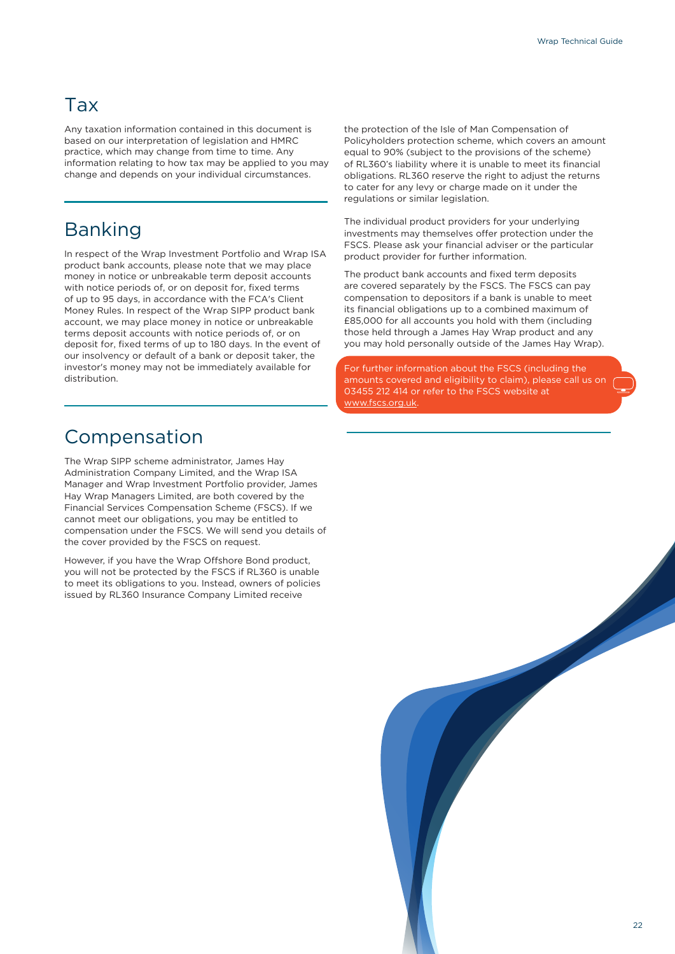### Tax

Any taxation information contained in this document is based on our interpretation of legislation and HMRC practice, which may change from time to time. Any information relating to how tax may be applied to you may change and depends on your individual circumstances.

### Banking

In respect of the Wrap Investment Portfolio and Wrap ISA product bank accounts, please note that we may place money in notice or unbreakable term deposit accounts with notice periods of, or on deposit for, fixed terms of up to 95 days, in accordance with the FCA's Client Money Rules. In respect of the Wrap SIPP product bank account, we may place money in notice or unbreakable terms deposit accounts with notice periods of, or on deposit for, fixed terms of up to 180 days. In the event of our insolvency or default of a bank or deposit taker, the investor's money may not be immediately available for distribution.

Compensation

The Wrap SIPP scheme administrator, James Hay Administration Company Limited, and the Wrap ISA Manager and Wrap Investment Portfolio provider, James Hay Wrap Managers Limited, are both covered by the Financial Services Compensation Scheme (FSCS). If we cannot meet our obligations, you may be entitled to compensation under the FSCS. We will send you details of the cover provided by the FSCS on request.

However, if you have the Wrap Offshore Bond product, you will not be protected by the FSCS if RL360 is unable to meet its obligations to you. Instead, owners of policies issued by RL360 Insurance Company Limited receive

the protection of the Isle of Man Compensation of Policyholders protection scheme, which covers an amount equal to 90% (subject to the provisions of the scheme) of RL360's liability where it is unable to meet its financial obligations. RL360 reserve the right to adjust the returns to cater for any levy or charge made on it under the regulations or similar legislation.

The individual product providers for your underlying investments may themselves offer protection under the FSCS. Please ask your financial adviser or the particular product provider for further information.

The product bank accounts and fixed term deposits are covered separately by the FSCS. The FSCS can pay compensation to depositors if a bank is unable to meet its financial obligations up to a combined maximum of £85,000 for all accounts you hold with them (including those held through a James Hay Wrap product and any you may hold personally outside of the James Hay Wrap).

For further information about the FSCS (including the amounts covered and eligibility to claim), please call us on 03455 212 414 or refer to the FSCS website at [www.fscs.org.uk.](http://www.fscs.org.uk)